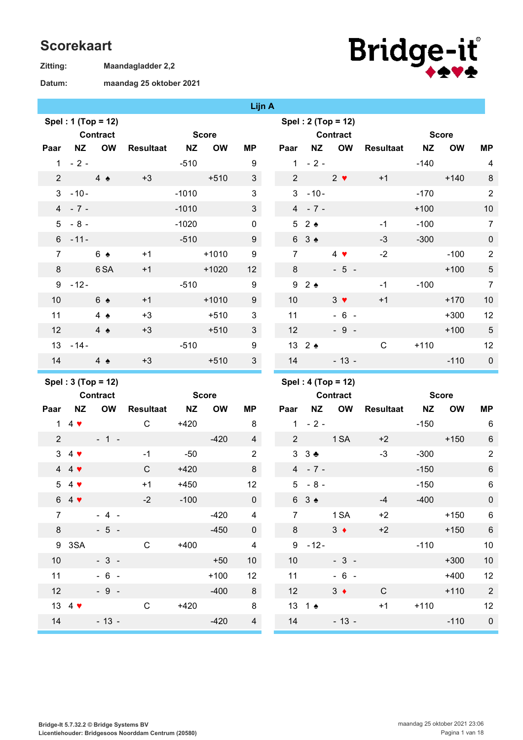## **Scorekaart**

**Maandagladder 2,2 Zitting:**

## **maandag 25 oktober 2021 Datum:**



## **Lijn A**

|                  |                 | Spel: 2 (Top = 12)                                                                                                                                   |
|------------------|-----------------|------------------------------------------------------------------------------------------------------------------------------------------------------|
|                  |                 | Contract                                                                                                                                             |
| MP               |                 |                                                                                                                                                      |
| 9                |                 |                                                                                                                                                      |
| $\mathfrak{S}$   |                 | $2 \bullet$                                                                                                                                          |
| 3                |                 |                                                                                                                                                      |
| $\mathfrak{S}$   |                 |                                                                                                                                                      |
| 0                |                 |                                                                                                                                                      |
| $\boldsymbol{9}$ |                 |                                                                                                                                                      |
| 9                | $\overline{7}$  | $4$ $\blacktriangledown$                                                                                                                             |
| 12 <sup>2</sup>  |                 | $-5$ .                                                                                                                                               |
| 9                |                 |                                                                                                                                                      |
| $\boldsymbol{9}$ | 10 <sup>1</sup> | $3 \bullet$                                                                                                                                          |
| 3                | 11              | $-6$ .                                                                                                                                               |
| 3                |                 | $-9$ .                                                                                                                                               |
| 9                |                 |                                                                                                                                                      |
| 3                | 14              | $-13$ .                                                                                                                                              |
|                  |                 | Paar NZ OW<br>$1 - 2 -$<br>$2 \left( \frac{1}{2} \right)$<br>$3 - 10 -$<br>$4 - 7 -$<br>52<br>$63 \triangle$<br>8<br>92<br>12 <sup>7</sup><br>13 2 4 |

|                |                 | $S[\text{opt} : 2]$ (10p – 12) |           |           |              |                |
|----------------|-----------------|--------------------------------|-----------|-----------|--------------|----------------|
|                |                 | <b>Contract</b>                |           |           | <b>Score</b> |                |
| Paar           | <b>NZ</b>       | <b>OW</b>                      | Resultaat | <b>NZ</b> | OW           | ΜP             |
| 1              | $-2-$           |                                |           | $-140$    |              | 4              |
| 2              |                 | $2 \bullet$                    | $+1$      |           | $+140$       | 8              |
| 3 <sup>1</sup> | $-10-$          |                                |           | $-170$    |              | $\overline{2}$ |
| 4              | $-7 -$          |                                |           | $+100$    |              | 10             |
|                | 52 <sub>2</sub> |                                | $-1$      | $-100$    |              | 7              |
|                | 63 <sub>2</sub> |                                | $-3$      | $-300$    |              | $\mathbf 0$    |
| 7              |                 | $4$ $\blacktriangledown$       | $-2$      |           | $-100$       | $\overline{c}$ |
| 8              |                 | $-5 -$                         |           |           | $+100$       | 5              |
| 9              | $2 \triangle$   |                                | $-1$      | $-100$    |              | $\overline{7}$ |
| 10             |                 | $3 \bullet$                    | $+1$      |           | $+170$       | 10             |
| 11             |                 | $-6 -$                         |           |           | $+300$       | 12             |
| 12             |                 | $-9 -$                         |           |           | $+100$       | 5              |
|                | 13 2 4          |                                | С         | $+110$    |              | 12             |
| 14             |                 | $-13 -$                        |           |           | $-110$       | $\mathbf 0$    |

**Spel : 3 (Top = 12)**

|     | <b>Contract</b>                                                                                                                                                       |      |        | <b>Score</b> |                         |
|-----|-----------------------------------------------------------------------------------------------------------------------------------------------------------------------|------|--------|--------------|-------------------------|
|     |                                                                                                                                                                       |      |        | <b>OW</b>    | ΜP                      |
|     |                                                                                                                                                                       | С    | $+420$ |              | 8                       |
|     | $-1 -$                                                                                                                                                                |      |        | $-420$       | $\overline{\mathbf{4}}$ |
|     |                                                                                                                                                                       | $-1$ | $-50$  |              | $\overline{2}$          |
|     |                                                                                                                                                                       | C    | $+420$ |              | 8                       |
|     |                                                                                                                                                                       | $+1$ | $+450$ |              | 12                      |
|     |                                                                                                                                                                       | $-2$ | $-100$ |              | $\boldsymbol{0}$        |
|     | $-4 -$                                                                                                                                                                |      |        | $-420$       | 4                       |
|     | $-5 -$                                                                                                                                                                |      |        | $-450$       | $\mathbf 0$             |
| 3SA |                                                                                                                                                                       | С    | $+400$ |              | 4                       |
|     | $-3-$                                                                                                                                                                 |      |        | $+50$        | 10                      |
|     | $-6$<br>$\sim$                                                                                                                                                        |      |        | $+100$       | 12                      |
|     | $-9 -$                                                                                                                                                                |      |        | $-400$       | 8                       |
|     |                                                                                                                                                                       | С    | $+420$ |              | 8                       |
|     | $-13 -$                                                                                                                                                               |      |        | $-420$       | 4                       |
|     | 1 4 $\blacktriangledown$<br>$4$ $\blacktriangledown$<br>$4$ $\blacktriangledown$<br>$4$ $\blacktriangledown$<br>$4$ $\blacktriangledown$<br>13 4 $\blacktriangledown$ |      |        |              | NZ OW Resultaat NZ      |

|  | Spel : 4 (Top = 12) |
|--|---------------------|
|  |                     |

|                         |                 | <b>Contract</b> |                       |        | <b>Score</b> |                 |
|-------------------------|-----------------|-----------------|-----------------------|--------|--------------|-----------------|
| Paar                    |                 |                 | NZ OW Resultaat NZ OW |        |              | MΡ              |
| 1                       | $-2-$           |                 |                       | $-150$ |              | 6               |
| $\overline{2}$          |                 | 1 <sub>SA</sub> | $+2$                  |        | $+150$       | 6               |
| 3                       | $3 +$           |                 | $-3$                  | $-300$ |              | $\mathbf 2$     |
| $\overline{\mathbf{4}}$ | $-7-$           |                 |                       | $-150$ |              | 6               |
| 5                       | - 8 -           |                 |                       | $-150$ |              | 6               |
|                         | 63 <sub>2</sub> |                 | $-4$                  | $-400$ |              | 0               |
| 7                       |                 | 1 SA            | $+2$                  |        | $+150$       | 6               |
| 8                       |                 | $3 \bullet$     | $+2$                  |        | $+150$       | $6\phantom{1}6$ |
| 9                       | $-12-$          |                 |                       | $-110$ |              | 10              |
| 10                      |                 | $-3 -$          |                       |        | $+300$       | 10              |
| 11                      |                 | $-6 -$          |                       |        | $+400$       | 12              |
| 12                      |                 | $3 \bullet$     | C                     |        | $+110$       | $\overline{2}$  |
|                         | 13 1 ♦          |                 | $+1$                  | $+110$ |              | 12              |
| 14                      |                 | - 13 -          |                       |        | $-110$       | $\mathbf 0$     |
|                         |                 |                 |                       |        |              |                 |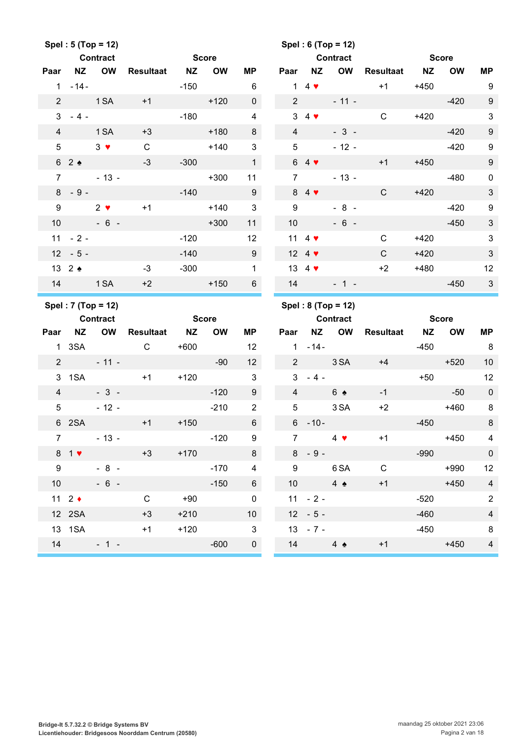|                 |                           | Spel: 5 (Top = 12) |                     |              |           |                 |                 |                                | Spel: 6 (Top = 12)          |                     |              |              |                  |
|-----------------|---------------------------|--------------------|---------------------|--------------|-----------|-----------------|-----------------|--------------------------------|-----------------------------|---------------------|--------------|--------------|------------------|
|                 |                           | <b>Contract</b>    |                     | <b>Score</b> |           |                 |                 |                                | <b>Contract</b>             |                     | <b>Score</b> |              |                  |
| Paar            |                           | NZ OW              | Resultaat NZ        |              | <b>OW</b> | ΜP              | Paar            | <b>NZ</b>                      | OW                          | Resultaat NZ        |              | <b>OW</b>    | <b>MP</b>        |
|                 | $1 - 14 -$                |                    |                     | -150         |           | 6               |                 |                                | $1\,4$ $\blacktriangledown$ | $+1$                | +450         |              | - 9              |
| $\overline{2}$  |                           | 1 SA               | $+1$                |              | $+120$    | $\overline{0}$  | $2^{\circ}$     |                                | $-11 -$                     |                     |              | $-420$       | $\boldsymbol{9}$ |
|                 | $3 - 4 -$                 |                    |                     |              | $-180$    | $\overline{4}$  |                 | $3\quad 4$                     |                             | $\mathsf{C}$        |              | $+420$       | $\sqrt{3}$       |
| $\overline{4}$  |                           | 1 SA               | $+3$                |              | $+180$    | 8               | $\overline{4}$  |                                | $-3 -$                      |                     |              | $-420$       | $\boldsymbol{9}$ |
| $5\phantom{.0}$ |                           | $3 \bullet$        | $\mathsf{C}$        |              | $+140$    | $\mathbf{3}$    | 5               |                                | $-12 -$                     |                     |              | $-420$       | $\boldsymbol{9}$ |
|                 | 62                        |                    | $-3$                | $-300$       |           | $\mathbf 1$     |                 | $64$ $\blacktriangledown$      |                             | $+1$                | $+450$       |              | $\boldsymbol{9}$ |
| $\overline{7}$  |                           | $-13-$             |                     |              | $+300$    | 11              | $7^{\circ}$     |                                | $-13 -$                     |                     |              | $-480$       | $\pmb{0}$        |
|                 | $8 - 9 -$                 |                    |                     | $-140$       |           | 9               |                 | 84                             |                             | $\mathsf{C}$        | $+420$       |              | $\mathfrak{S}$   |
| 9               |                           | $2 \bullet$        | $+1$                |              | $+140$    | $\mathbf{3}$    | 9               |                                | $-8 -$                      |                     |              | $-420$       | $\boldsymbol{9}$ |
| 10 <sup>°</sup> |                           | $-6-$              |                     |              | $+300$    | 11              | 10 <sup>°</sup> |                                | $-6 -$                      |                     |              | $-450$       | $\sqrt{3}$       |
|                 | $11 - 2 -$                |                    |                     | $-120$       |           | 12              |                 | 11 4 $\blacktriangledown$      |                             | $\mathsf{C}$        | $+420$       |              | $\sqrt{3}$       |
|                 | $12 - 5 -$                |                    |                     | $-140$       |           | 9               |                 | 12 4 $\blacktriangledown$      |                             | $\mathsf{C}$        | $+420$       |              | $\sqrt{3}$       |
|                 | 13 $2 \triangleleft$      |                    | $-3$                | $-300$       |           | $\mathbf{1}$    |                 | 13 4 $\blacktriangledown$      |                             | $+2$                | $+480$       |              | 12               |
|                 | 14 1 SA                   |                    | $+2$                |              | $+150$    | $6\overline{6}$ | 14              |                                | $-1 -$                      |                     |              | $-450$       | $\mathbf{3}$     |
|                 |                           |                    |                     |              |           |                 |                 |                                |                             |                     |              |              |                  |
|                 |                           |                    |                     |              |           |                 |                 |                                |                             |                     |              |              |                  |
|                 | <b>Contract</b>           | Spel: 7 (Top = 12) |                     | <b>Score</b> |           |                 |                 | <b>Contract</b>                | Spel: 8 (Top = 12)          |                     |              | <b>Score</b> |                  |
| Paar            |                           | NZ OW              | <b>Resultaat NZ</b> |              | <b>OW</b> | МP              |                 |                                | Paar NZ OW                  | <b>Resultaat NZ</b> |              | <b>OW</b>    | MP               |
|                 | 1 3SA                     |                    | $\overline{C}$      | +600         |           | 12              |                 | $1 - 14 -$                     |                             |                     | $-450$       |              | 8                |
|                 |                           | $2 - 11 -$         |                     |              | $-90$     | 12 <sup>°</sup> |                 | $2 \left( \frac{1}{2} \right)$ | 3 SA                        | $+4$                |              | $+520$       | 10               |
|                 |                           | 3 1 SA +1          |                     | $+120$       |           | $\mathbf{3}$    |                 | $3 - 4 -$                      |                             |                     | $+50$        |              | 12               |
|                 |                           | $4 - 3 -$          |                     |              | $-120$    | 9               | $\overline{4}$  |                                | $6 \triangle$               | $-1$                | a matang     | $-50$        | $\overline{0}$   |
| 5 <sup>5</sup>  |                           | $-12 -$            |                     |              | $-210$    | 2               | 5               |                                | 3 SA                        | $+2$                |              | $+460$       | 8                |
|                 | 6 2SA                     |                    | $+1$                | $+150$       |           | $6\phantom{1}$  |                 | $6 - 10 -$                     |                             |                     | $-450$       |              | $\, 8$           |
| 7 <sup>7</sup>  |                           | $-13 -$            |                     |              | $-120$    | 9               | $\overline{7}$  |                                | $4$ $\blacktriangledown$    | $+1$                |              | +450         | $\overline{4}$   |
|                 | $81$ $\blacktriangledown$ |                    | $+3$                | $+170$       |           | 8               |                 | $8 - 9 -$                      |                             |                     | $-990$       |              | $\mathbf 0$      |
| 9               |                           | $-8 -$             |                     |              | $-170$    | $\overline{4}$  | $9^{\circ}$     |                                | 6 SA                        | $\mathsf{C}$        |              | $+990$       | 12               |
|                 | 10                        | $-6 -$             |                     |              | $-150$    | $6\overline{6}$ |                 | 10                             | $4 \bullet$                 | $+1$                |              | $+450$       | $\overline{4}$   |
|                 | 11 $2 \div$               |                    | $\mathsf{C}$        | $+90$        |           | $\mathbf 0$     |                 | $11 - 2 -$                     |                             |                     | $-520$       |              | $\overline{2}$   |
|                 | 12 2SA                    |                    | $+3$                | $+210$       |           | 10 <sup>1</sup> |                 | $12 - 5 -$                     |                             |                     | $-460$       |              | $\overline{4}$   |
|                 | 13 1SA                    |                    | $+1$                | $+120$       |           | $\mathbf{3}$    |                 | $13 - 7 -$                     |                             |                     | $-450$       |              | 8                |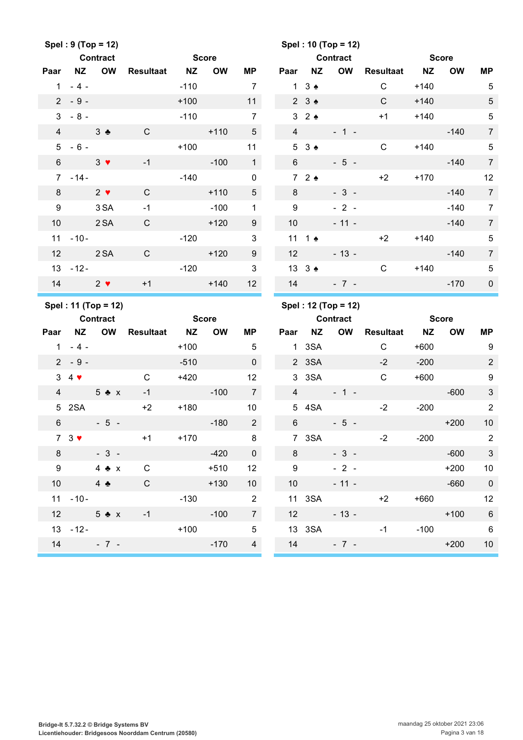|                 |                           | Spel: 9 (Top = 12)                     |                  |              |           |                          |                 |                             | Spel: 10 (Top = 12)   |                  |              |                           |                         |
|-----------------|---------------------------|----------------------------------------|------------------|--------------|-----------|--------------------------|-----------------|-----------------------------|-----------------------|------------------|--------------|---------------------------|-------------------------|
|                 |                           | <b>Contract</b>                        |                  | <b>Score</b> |           |                          |                 |                             | <b>Contract</b>       |                  | <b>Score</b> |                           |                         |
| Paar            | NZ                        | <b>OW</b>                              | <b>Resultaat</b> | <b>NZ</b>    | <b>OW</b> | ΜP                       | Paar            | <b>NZ</b>                   | OW                    | Resultaat NZ     |              | <b>OW</b>                 | MP                      |
|                 | $1 - 4 -$                 |                                        |                  | $-110$       |           | $\overline{7}$           |                 | $1 \quad 3 \Leftrightarrow$ |                       | $\mathsf{C}$     | $+140$       |                           | $5\phantom{.0}$         |
|                 | $2 - 9 -$                 |                                        |                  | $+100$       |           | 11                       |                 | $2 \quad 3 \Leftrightarrow$ |                       | $\mathsf{C}$     | $+140$       |                           | $\sqrt{5}$              |
| $\mathbf{3}$    | $-8-$                     |                                        |                  | $-110$       |           | $\overline{7}$           |                 | 32                          |                       | $+1$             | $+140$       |                           | $\sqrt{5}$              |
| $\overline{4}$  |                           | 3 <sub>2</sub>                         | $\mathsf{C}$     |              | $+110$    | 5 <sup>5</sup>           | $\overline{4}$  |                             | $-1 -$                |                  |              | $-140$                    | $\overline{7}$          |
| $5\overline{)}$ | $-6-$                     |                                        |                  | $+100$       |           | 11                       | $5\overline{)}$ | $3 \triangle$               |                       | $\mathsf{C}$     | $+140$       |                           | $\sqrt{5}$              |
| $6\phantom{1}$  |                           | $3 \bullet$                            | $-1$             |              | $-100$    | 1                        | $6\overline{6}$ |                             | $-5 -$                |                  |              | $-140$                    | $\overline{7}$          |
|                 | $7 - 14 -$                |                                        |                  | $-140$       |           | $\mathbf 0$              |                 | 72                          |                       | $+2$             | $+170$       |                           | 12                      |
| 8               |                           | $2 \bullet$                            | $\mathsf C$      |              | $+110$    | $5\phantom{.0}$          | 8               |                             | $-3-$                 |                  |              | $-140$                    | $\overline{7}$          |
| 9               |                           | 3 SA                                   | $-1$             |              | $-100$    | $\mathbf{1}$             | 9               |                             | $-2-$                 |                  |              | $-140$                    | $\overline{7}$          |
| 10              |                           | 2 SA                                   | $\mathsf{C}$     |              | $+120$    | 9                        | 10              |                             | $-11 -$               |                  |              | $-140$                    | $\overline{7}$          |
|                 | $11 - 10 -$               |                                        |                  | $-120$       |           | $\sqrt{3}$               |                 | 11 1 $\triangle$            |                       | $+2$             | $+140$       |                           | $\sqrt{5}$              |
| 12              |                           | 2 SA                                   | $\mathsf{C}$     |              | $+120$    | 9                        | 12              |                             | $-13 -$               |                  |              | $-140$                    | $\overline{7}$          |
|                 | $13 - 12 -$               |                                        |                  | $-120$       |           | $\mathbf{3}$             |                 | 13 3 $\triangle$            |                       | $\mathsf{C}$     | $+140$       |                           | $\sqrt{5}$              |
| 14              |                           | $\sim$ 2 $\sqrt{ }$                    | $+1$             |              | $+140$    | 12                       | 14              |                             | $-7 -$                |                  |              | $-170$                    | $\pmb{0}$               |
|                 |                           |                                        |                  |              |           |                          |                 |                             |                       |                  |              |                           |                         |
|                 |                           |                                        |                  |              |           |                          |                 |                             |                       |                  |              |                           |                         |
|                 |                           | Spel: 11 (Top = 12)<br><b>Contract</b> |                  | <b>Score</b> |           |                          |                 |                             | Spel: 12 (Top = 12)   |                  |              |                           |                         |
| Paar            | <b>NZ</b>                 | OW                                     | <b>Resultaat</b> | <b>NZ</b>    | <b>OW</b> | MР                       | Paar            | <b>NZ</b>                   | <b>Contract</b><br>OW | <b>Resultaat</b> | <b>NZ</b>    | <b>Score</b><br><b>OW</b> | MP                      |
|                 | $1 - 4 -$                 |                                        |                  | $+100$       |           | $\overline{5}$           | 1               | 3SA                         |                       | $\mathsf{C}$     | $+600$       |                           | 9                       |
|                 | $2 - 9 -$                 |                                        |                  | $-510$       |           | $\mathbf 0$              |                 | 2 3SA                       |                       | $-2$             | $-200$       |                           | $\overline{2}$          |
|                 | $3\quad 4$                |                                        | $\mathsf C$      | $+420$       |           | 12                       |                 | 3 3 SA                      |                       | $\mathsf{C}$     | $+600$       |                           | $\boldsymbol{9}$        |
| $\overline{4}$  |                           | $5 \bullet x$                          | $-1$             |              | $-100$    | $\overline{7}$           | $\overline{4}$  |                             | $-1 -$                |                  |              | $-600$                    | $\mathbf{3}$            |
|                 | 5 2SA                     |                                        | $+2$             | $+180$       |           | 10 <sup>°</sup>          |                 | 5 4SA                       |                       | $-2$             | $-200$       |                           | $\overline{2}$          |
| 6               |                           | $-5-$                                  |                  |              | $-180$    | $2^{\circ}$              | $6\overline{6}$ |                             | $-5 -$                |                  |              | $+200$                    | 10                      |
|                 | $73$ $\blacktriangledown$ |                                        | $+1$             | $+170$       |           | 8                        |                 | 7 3SA                       |                       | $-2$             | $-200$       |                           | $2^{\circ}$             |
|                 |                           | $8 - 3 -$                              |                  |              | $-420$    | $\overline{\phantom{0}}$ |                 | $8 - 1$                     | $-3 -$                |                  |              | $-600$                    | $\overline{\mathbf{3}}$ |
| 9               |                           | $4 \triangle x$                        | $\mathsf{C}$     |              | $+510$    | 12                       |                 | $9 \qquad \qquad$           | $-2 -$                |                  |              | $+200$                    | 10                      |
|                 |                           | 10 4 $\clubsuit$                       | $\mathsf{C}$     |              | $+130$    | 10 <sub>1</sub>          |                 | 10                          |                       | $-11 -$          |              | $-660$                    | $\overline{0}$          |
|                 | $11 - 10 -$               |                                        |                  | $-130$       |           | $\overline{2}$           |                 |                             | 11 3SA                | $+2$             | $+660$       |                           | 12                      |
|                 |                           | 12 $5 \triangle x$                     | $-1$             |              | $-100$    | $\overline{7}$           |                 | $12$ and $12$               |                       | $-13 - 12$       |              | $+100$                    | 6                       |
|                 |                           | $13 - 12 -$                            |                  | $+100$       |           | $\overline{5}$           |                 |                             | 13 3SA                | $-1$ and $-1$    |              | $-100$                    | 6                       |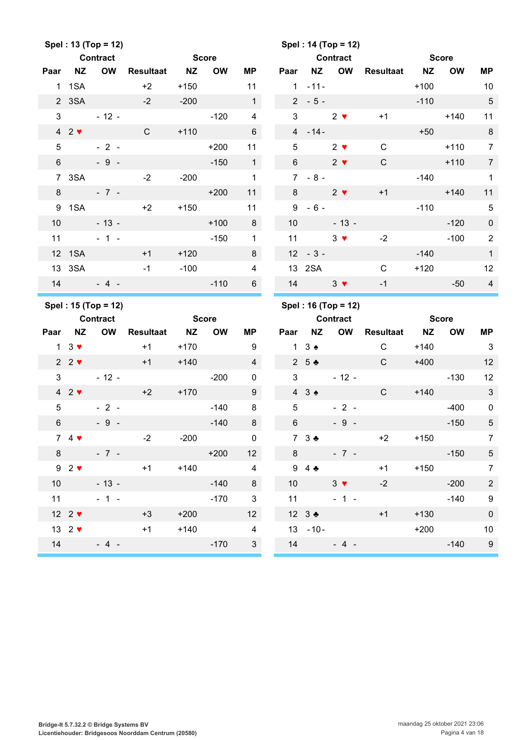|                |                                 | Spel: 13 (Top = 12) |                  |              |           |                 |                 |                          | Spel: 14 (Top = 12) |                           |        |              |                  |
|----------------|---------------------------------|---------------------|------------------|--------------|-----------|-----------------|-----------------|--------------------------|---------------------|---------------------------|--------|--------------|------------------|
|                |                                 | <b>Contract</b>     |                  | <b>Score</b> |           |                 |                 |                          | <b>Contract</b>     | <b>Example 2018</b> Score |        |              |                  |
| Paar           | <b>NZ</b>                       | <b>OW</b>           | Resultaat        | <b>NZ</b>    | <b>OW</b> | ΜP              | Paar            | <b>NZ</b>                | <b>OW</b>           | Resultaat NZ              |        | <b>OW</b>    | <b>MP</b>        |
|                | 1 1 SA                          |                     | $+2$             | $+150$       |           | 11              |                 | $1 - 11 -$               |                     |                           | $+100$ |              | 10               |
|                | 2 3SA                           |                     | $-2$             | $-200$       |           | $\mathbf{1}$    |                 | $2 - 5 -$                |                     |                           | $-110$ |              | $\sqrt{5}$       |
| 3              |                                 | $-12 -$             |                  |              | $-120$    | $\overline{4}$  | 3               |                          | $2 \bullet$         | $+1$                      |        | $+140$       | 11               |
|                | $42$ $\blacktriangledown$       |                     | $\mathsf{C}$     | $+110$       |           | $6\phantom{1}$  |                 | $4 - 14 -$               |                     |                           | $+50$  |              | $\, 8$           |
| 5              |                                 | $-2-$               |                  |              | $+200$    | 11              | 5               |                          | $2 \bullet$         | $\mathsf C$               |        | $+110$       | $\overline{7}$   |
| $6\phantom{1}$ |                                 | $-9 -$              |                  |              | $-150$    | $\mathbf 1$     | $6\overline{6}$ |                          | $2 \bullet$         | $\mathsf{C}$              |        | $+110$       | $\overline{7}$   |
|                | 7 3SA                           |                     | $-2$             | $-200$       |           | $\mathbf{1}$    | $7^{\circ}$     | $-8 -$                   |                     |                           | $-140$ |              | $\mathbf{1}$     |
| 8              |                                 | $-7 -$              |                  |              | $+200$    | 11              | 8               |                          | $2 \bullet$         | $+1$                      |        | $+140$       | 11               |
| 9              | 1SA                             |                     | $+2$             | $+150$       |           | 11              | 9               | $-6-$                    |                     |                           | $-110$ |              | $\sqrt{5}$       |
| 10             |                                 | $-13 -$             |                  |              | $+100$    | 8               | 10 <sup>°</sup> |                          | $-13 -$             |                           |        | $-120$       | $\pmb{0}$        |
| 11             |                                 | $-1 -$              |                  |              | $-150$    | $\mathbf{1}$    | 11              |                          | $3 \bullet$         | $-2$                      |        | $-100$       | $\overline{2}$   |
|                | 12 1SA                          |                     | $+1$             | $+120$       |           | 8               |                 | $12 - 3 -$               |                     |                           | $-140$ |              | $\mathbf{1}$     |
|                | 13 3SA                          |                     | $-1$             | $-100$       |           | $\overline{4}$  |                 | 13 2SA                   |                     | $\mathsf{C}$              | $+120$ |              | 12               |
|                |                                 | $14 - 4 -$          |                  |              | $-110$    | $6\overline{6}$ |                 | 14 $3 \sqrt{ }$          |                     | $-1$                      |        | $-50$        | $\overline{4}$   |
|                |                                 |                     |                  |              |           |                 |                 |                          |                     |                           |        |              |                  |
|                |                                 | Spel: 15 (Top = 12) |                  |              |           |                 |                 |                          | Spel: 16 (Top = 12) |                           |        |              |                  |
|                |                                 | <b>Contract</b>     |                  | <b>Score</b> |           |                 |                 |                          | <b>Contract</b>     |                           |        | <b>Score</b> |                  |
| Paar           | <b>NZ</b>                       | <b>OW</b>           | <b>Resultaat</b> | <b>NZ</b>    | <b>OW</b> | <b>MP</b>       | Paar            | <b>NZ</b>                | OW                  | Resultaat NZ              |        | <b>OW</b>    | <b>MP</b>        |
|                | $1 \quad 3 \blacktriangleright$ |                     | $+1$             | $+170$       |           | 9               | $\mathbf{1}$    | $3 \triangleleft$        |                     | C                         | $+140$ |              | $\mathbf{3}$     |
|                | $2 \cdot 2 \cdot$               |                     | $+1$             | $+140$       |           | $\overline{4}$  |                 | $2\quad5$ $\bullet$      |                     | $\mathsf{C}$              | $+400$ |              | 12               |
| 3              |                                 | $-12 -$             |                  |              | $-200$    | 0               | 3               |                          | $-12 -$             |                           |        | $-130$       | 12               |
|                | $42$ $\blacktriangledown$       |                     | $+2$             | $+170$       |           | 9               |                 | $43 \triangle$           |                     | $\mathsf{C}$              | $+140$ |              | $\sqrt{3}$       |
| 5              |                                 | $-2-$               |                  |              | $-140$    | 8               | 5               |                          | $-2-$               |                           |        | $-400$       | $\pmb{0}$        |
| $6\phantom{.}$ |                                 | $-9-$               |                  |              | $-140$    | 8               | $6\,$           |                          | $-9 -$              |                           |        | $-150$       | $\sqrt{5}$       |
|                | 74                              |                     | $-2$             | $-200$       |           | $\mathbf 0$     |                 | $73$ $\bullet$           |                     | $+2$                      | $+150$ |              | $7^{\circ}$      |
|                | $8 -$                           | $-7 -$              |                  |              | $+200$    | 12 <sup>°</sup> |                 | $8 - 8$                  | $-7 -$              |                           |        | $-150$       | $5\,$            |
|                | $92$ $\blacktriangleright$      |                     | $+1$             | $+140$       |           | $\overline{4}$  |                 | $9\quad 4 \cdot \bullet$ |                     | $+1$                      |        | $+150$       | $7\overline{ }$  |
|                | 10                              | $-13 -$             |                  |              | $-140$    | 8               | 10 <sup>1</sup> |                          | $3 \vee$            | $-2$                      |        | $-200$       | $\sqrt{2}$       |
|                | 11                              | $-1 -$              |                  |              | $-170$    | $\mathbf{3}$    |                 | $11 -$                   | $-1 -$              |                           |        | $-140$       | 9                |
|                | 12 $2 \blacktriangledown$       |                     | $+3$             | $+200$       |           | 12 <sup>°</sup> |                 | 12 $3$ $\bullet$         |                     | $+1$                      | $+130$ |              | $\pmb{0}$        |
|                | 13 $2 \blacktriangledown$       |                     | $+1$             | $+140$       |           | $\overline{4}$  |                 | $13 - 10 -$              |                     |                           | $+200$ |              | 10               |
| 14             |                                 | $-4$ -              |                  |              | $-170$    | 3 <sup>7</sup>  |                 | 14                       | $-4-$               |                           |        | $-140$       | $\boldsymbol{9}$ |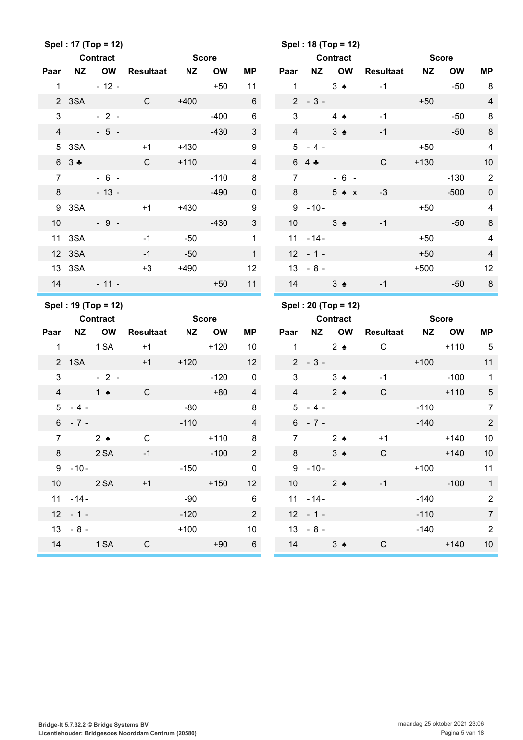|                |                       | Spel: 17 (Top = 12)<br><b>Contract</b> |                  | <b>Score</b> |           |                                    |                |                  | Spel: 18 (Top = 12)<br><b>Contract</b> |                  | <b>Score</b> |              |                         |
|----------------|-----------------------|----------------------------------------|------------------|--------------|-----------|------------------------------------|----------------|------------------|----------------------------------------|------------------|--------------|--------------|-------------------------|
| Paar           | <b>NZ</b>             | OW                                     | Resultaat NZ     |              | <b>OW</b> | <b>MP</b>                          | Paar           | NZ               | <b>OW</b>                              | Resultaat        | <b>NZ</b>    | <b>OW</b>    | <b>MP</b>               |
| $\mathbf{1}$   |                       | $-12 -$                                |                  |              | $+50$     | 11                                 | $\mathbf{1}$   |                  | $3 \triangleleft$                      | $-1$             |              | $-50$        | 8                       |
|                | 2 3SA                 |                                        | $\mathsf{C}$     | $+400$       |           | $\,6\,$                            | 2 <sup>1</sup> | $-3-$            |                                        |                  | $+50$        |              | $\overline{\mathbf{4}}$ |
| 3              |                       | $-2-$                                  |                  |              | $-400$    | $\,6\,$                            | 3              |                  | $4 \triangle$                          | $-1$             |              | $-50$        | $\, 8$                  |
| $\overline{4}$ |                       | $-5 -$                                 |                  |              | $-430$    | $\mathfrak{S}$                     | $\overline{4}$ |                  | $3 \triangle$                          | $-1$             |              | $-50$        | $\, 8$                  |
|                | 5 3SA                 |                                        | $+1$             | $+430$       |           | 9                                  | 5              | $-4-$            |                                        |                  | $+50$        |              | $\overline{\mathbf{4}}$ |
|                | 6 3 ♣                 |                                        | $\mathsf{C}$     | $+110$       |           | $\overline{\mathbf{4}}$            |                | 64               |                                        | $\mathsf{C}$     | $+130$       |              | 10                      |
| $\overline{7}$ |                       | $-6 -$                                 |                  |              | $-110$    | 8                                  | $\mathbf{7}$   |                  | $-6 -$                                 |                  |              | $-130$       | $\sqrt{2}$              |
| 8              |                       | $-13 -$                                |                  |              | $-490$    | $\mathbf 0$                        | 8              |                  | $5 \triangle x$                        | $-3$             |              | $-500$       | $\pmb{0}$               |
|                | 9 3SA                 |                                        | $+1$             | $+430$       |           | $\boldsymbol{9}$                   | 9              | $-10-$           |                                        |                  | $+50$        |              | $\overline{\mathbf{4}}$ |
| 10             |                       | $-9 -$                                 |                  |              | $-430$    | $\mathfrak{S}$                     | 10             |                  | $3 \triangle$                          | $-1$             |              | $-50$        | $\bf 8$                 |
| 11             | 3SA                   |                                        | $-1$             | $-50$        |           | $\mathbf 1$                        | 11             | $-14-$           |                                        |                  | $+50$        |              | $\overline{\mathbf{4}}$ |
|                | 12 3SA                |                                        | $-1$             | $-50$        |           | $\mathbf{1}$                       |                | $12 - 1 -$       |                                        |                  | $+50$        |              | $\overline{4}$          |
|                | 13 3SA                |                                        | $+3$             | $+490$       |           | 12                                 |                | $13 - 8 -$       |                                        |                  | $+500$       |              | 12                      |
| 14             |                       | $-11 -$                                |                  |              | $+50$     | 11                                 |                | 14               | $3 \triangle$                          | $-1$             |              | $-50$        | 8                       |
|                |                       |                                        |                  |              |           |                                    |                |                  |                                        |                  |              |              |                         |
|                |                       | Spel: 19 (Top = 12)                    |                  |              |           |                                    |                |                  | Spel: 20 (Top = 12)                    |                  |              |              |                         |
|                |                       | <b>Contract</b>                        |                  | <b>Score</b> |           |                                    |                |                  | <b>Contract</b>                        |                  |              | <b>Score</b> |                         |
| Paar           | <b>NZ</b>             | OW                                     | <b>Resultaat</b> | NZ           | <b>OW</b> | МP                                 | Paar           | <b>NZ</b>        | OW                                     | <b>Resultaat</b> | <b>NZ</b>    | <b>OW</b>    | <b>MP</b>               |
| $\mathbf{1}$   |                       | 1 SA                                   | $+1$             |              | $+120$    | 10                                 | $\mathbf{1}$   |                  | $2 \triangle$                          | $\mathsf{C}$     |              | $+110$       | $-5$                    |
|                | 2 1SA                 |                                        | $+1$             | $+120$       |           | 12                                 |                | $2 - 3 -$        |                                        |                  | $+100$       |              | 11                      |
| 3              |                       | $-2-$                                  |                  |              | $-120$    | $\pmb{0}$                          | 3              |                  | $3 \triangleleft$                      | $-1$             |              | $-100$       | $\mathbf{1}$            |
| $\overline{4}$ | $1 \bullet$           |                                        | $\mathsf{C}$     |              | $+80$     | $\overline{4}$                     | $\overline{4}$ |                  | $2 \triangle$                          | $\mathsf{C}$     |              | $+110$       | $\sqrt{5}$              |
| 5 <sup>5</sup> | $-4-$                 |                                        |                  | $-80$        |           | 8                                  |                | $5 - 4 -$        |                                        |                  | $-110$       |              | $\overline{7}$          |
| $6\phantom{.}$ | $-7 -$                |                                        |                  | $-110$       |           | $\overline{4}$                     |                | $6 - 7 -$        |                                        |                  | $-140$       |              | $\sqrt{2}$              |
| $\overline{7}$ |                       | 2 <sub>2</sub>                         | $\mathsf{C}$     |              | $+110$ 8  |                                    | 7 <sup>1</sup> |                  | $2 \triangleleft$                      | $+1$             |              | $+140$       | 10                      |
|                | 8 2 SA                |                                        | $-1$             |              | $-100$    | $\overline{2}$                     |                | $8 - 8$          | $3 \triangle$                          | $\mathsf{C}$     |              | $+140$       | $10$                    |
|                |                       | $9 - 10 -$                             |                  | $-150$       |           | $\mathbf 0$                        |                | $9 - 10 -$       |                                        |                  | $+100$       |              | 11                      |
|                | 10 2 SA               |                                        | $+1$             |              | $+150$    | 12 <sup>2</sup>                    |                | 10               | $2 \triangleleft$                      | $-1$             |              | $-100$       | $\overline{1}$          |
|                | $11 - 14 -$           |                                        |                  | $-90$        |           | $6\overline{6}$                    |                | $11 - 14 -$      |                                        |                  | $-140$       |              | $\sqrt{2}$              |
|                | $12 - 1 -$            |                                        |                  | $-120$       |           | $\overline{2}$                     |                | $12 - 1 -$       |                                        |                  | $-110$       |              | $\overline{7}$          |
|                | $13 - 8 -$<br>14 1 SA |                                        | $\mathsf{C}$     | $+100$       | $+90$     | 10 <sup>°</sup><br>$6\overline{6}$ |                | $13 - 8 -$<br>14 | 3 <sub>2</sub>                         | $\mathsf{C}$     | $-140$       | $+140$       | $\sqrt{2}$<br>$10$      |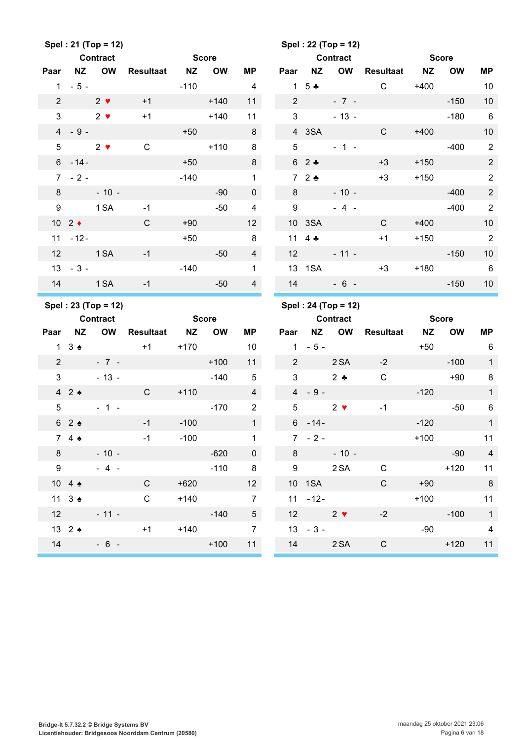|                |                             | Spel: 21 (Top = 12)                    |                  |              |              |                         |                  |                 | Spel: 22 (Top = 12)                    |                  |              |              |                         |
|----------------|-----------------------------|----------------------------------------|------------------|--------------|--------------|-------------------------|------------------|-----------------|----------------------------------------|------------------|--------------|--------------|-------------------------|
|                |                             | <b>Contract</b>                        |                  | <b>Score</b> |              |                         |                  |                 | <b>Contract</b>                        |                  | <b>Score</b> |              |                         |
| Paar           | <b>NZ</b>                   | <b>OW</b>                              | <b>Resultaat</b> | <b>NZ</b>    | <b>OW</b>    | <b>MP</b>               | Paar             | <b>NZ</b>       | OW                                     | <b>Resultaat</b> | <b>NZ</b>    | <b>OW</b>    | <b>MP</b>               |
|                | $1 - 5 -$                   |                                        |                  | $-110$       |              | 4                       |                  | 1 5 $\clubsuit$ |                                        | $\mathsf{C}$     | $+400$       |              | 10                      |
| $\overline{2}$ |                             | $2 \bullet$                            | $+1$             |              | $+140$       | 11                      | $\overline{2}$   |                 | $-7 -$                                 |                  |              | $-150$       | 10                      |
| $\mathfrak{S}$ |                             | $2 \bullet$                            | $+1$             |              | $+140$       | 11                      | 3                |                 | $-13 -$                                |                  |              | $-180$       | 6                       |
|                | $4 - 9 -$                   |                                        |                  | $+50$        |              | 8                       |                  | 4 3SA           |                                        | $\mathsf{C}$     | $+400$       |              | 10                      |
| 5              |                             | $2 \bullet$                            | $\mathsf C$      |              | $+110$       | 8                       | 5                |                 | $-1 -$                                 |                  |              | $-400$       | $\sqrt{2}$              |
|                | $6 - 14 -$                  |                                        |                  | $+50$        |              | 8                       |                  | 62              |                                        | $+3$             | $+150$       |              | 2                       |
|                | $7 - 2 -$                   |                                        |                  | $-140$       |              | $\mathbf 1$             |                  | $72$ $\bullet$  |                                        | $+3$             | $+150$       |              | $\overline{2}$          |
| 8              |                             | $-10 -$                                |                  |              | $-90$        | $\mathbf 0$             | 8                |                 | $-10 -$                                |                  |              | $-400$       | $\overline{2}$          |
| 9              |                             | 1 <sub>SA</sub>                        | $-1$             |              | $-50$        | $\overline{\mathbf{4}}$ | $\boldsymbol{9}$ |                 | $-4 -$                                 |                  |              | $-400$       | $\overline{2}$          |
|                | 10 $2 \div$                 |                                        | C                | $+90$        |              | 12                      |                  | 10 3SA          |                                        | C                | $+400$       |              | 10                      |
|                | $11 - 12 -$                 |                                        |                  | $+50$        |              | 8                       | 11               | $4 \bullet$     |                                        | $+1$             | $+150$       |              | $\overline{2}$          |
| 12             |                             | 1 <sub>SA</sub>                        | $-1$             |              | $-50$        | $\overline{4}$          | 12               |                 | $-11 -$                                |                  |              | $-150$       | 10                      |
|                | $13 - 3 -$                  |                                        |                  | $-140$       |              | 1                       |                  | 13 1SA          |                                        | $+3$             | $+180$       |              | $6\phantom{1}6$         |
| 14             |                             | 1 SA                                   | $-1$             |              | $-50$        | $\overline{4}$          | 14               |                 | $-6 -$                                 |                  |              | $-150$       | 10                      |
|                |                             |                                        |                  |              |              |                         |                  |                 |                                        |                  |              |              |                         |
|                |                             |                                        |                  |              |              |                         |                  |                 |                                        |                  |              |              |                         |
|                |                             | Spel: 23 (Top = 12)<br><b>Contract</b> |                  |              | <b>Score</b> |                         |                  |                 | Spel: 24 (Top = 12)<br><b>Contract</b> |                  |              | <b>Score</b> |                         |
| Paar           | <b>NZ</b>                   | OW                                     | <b>Resultaat</b> | <b>NZ</b>    | <b>OW</b>    | <b>MP</b>               | Paar             |                 | NZ OW                                  | <b>Resultaat</b> | <b>NZ</b>    | <b>OW</b>    | <b>MP</b>               |
|                | $1 \quad 3 \Leftrightarrow$ |                                        | $+1$             | $+170$       |              | 10                      |                  | $1 - 5 -$       |                                        |                  | $+50$        |              | 6                       |
| $\overline{2}$ |                             | $-7 -$                                 |                  |              | $+100$       | 11                      | $\overline{2}$   |                 | 2 SA                                   | $-2$             |              | $-100$       | $\mathbf{1}$            |
| $\mathfrak{S}$ |                             | $-13 -$                                |                  |              | $-140$       | 5                       | 3                |                 | $2$ $\bullet$                          | $\mathsf{C}$     |              | $+90$        | 8                       |
|                | 42                          |                                        | $\mathsf{C}$     | $+110$       |              | $\overline{4}$          |                  | $4 - 9 -$       |                                        |                  | $-120$       |              | $\mathbf{1}$            |
| 5              |                             | $-1 -$                                 |                  |              | $-170$       | $\overline{2}$          | $\overline{5}$   |                 | $2 \bullet$                            | $-1$             |              | $-50$        | $\,6$                   |
|                | 62                          |                                        | $-1$             | $-100$       |              | 1                       |                  | $6 - 14 -$      |                                        |                  | $-120$       |              | $\mathbf{1}$            |
|                | 74                          |                                        | $-1$             | $-100$       |              | $\mathbf{1}$            |                  | $7 - 2 -$       |                                        |                  | $+100$       |              | 11                      |
| 8              |                             | $-10 -$                                |                  |              | $-620$       | $\overline{0}$          |                  | $8 - 8$         | $-10 -$                                |                  |              | $-90$        | $\overline{\mathbf{4}}$ |
| 9              |                             | $-4 -$                                 |                  |              | $-110$       | 8 <sup>8</sup>          |                  | 9               | 2 SA                                   | $\mathsf C$      |              | $+120$       | 11                      |
|                | 10 4 $\triangle$            |                                        | $\mathsf{C}$     | $+620$       |              | 12                      |                  | 10 1SA          |                                        | $\mathsf{C}$     | $+90$        |              | 8                       |
|                | 11 $3 \triangleq$           |                                        | $\mathsf C$      | $+140$       |              | $\overline{7}$          |                  | $11 - 12 -$     |                                        |                  | $+100$       |              | 11                      |
| 12             |                             | $-11 -$                                |                  |              | $-140$       | 5 <sub>5</sub>          |                  | 12 $2 \sqrt{ }$ |                                        | $-2$             |              | $-100$       | $\overline{\mathbf{1}}$ |
|                | 13 2 $\triangle$            |                                        | $+1$             | $+140$       |              | $\overline{7}$          |                  | $13 - 3 -$      |                                        |                  |              | $-90$        | $\overline{4}$          |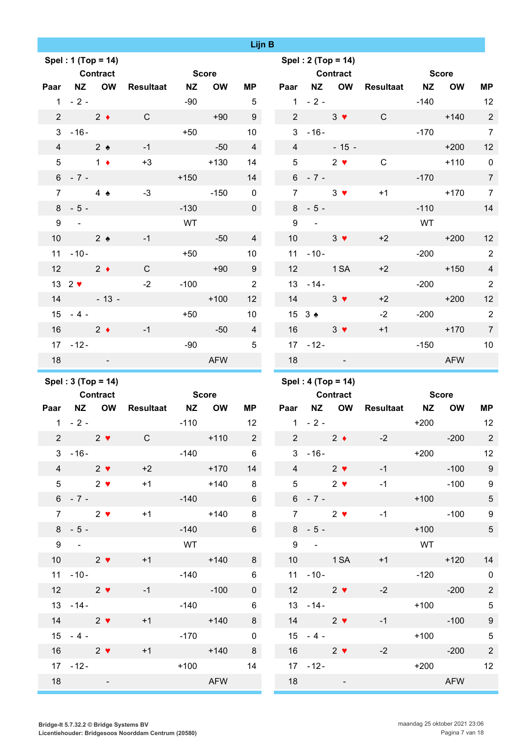|                 |                                         |                              |                         |              |                            | <b>Lijn B</b> |                 |                                   |                                                        |                     |              |                  |                                  |
|-----------------|-----------------------------------------|------------------------------|-------------------------|--------------|----------------------------|---------------|-----------------|-----------------------------------|--------------------------------------------------------|---------------------|--------------|------------------|----------------------------------|
|                 | Spel: 1 (Top = 14)                      |                              |                         |              |                            |               |                 |                                   | Spel: 2 (Top = 14)                                     |                     |              |                  |                                  |
|                 | <b>Contract</b>                         |                              |                         | <b>Score</b> |                            |               |                 |                                   | <b>Contract</b>                                        |                     | <b>Score</b> |                  |                                  |
|                 | Paar NZ OW                              |                              | <b>NZ</b><br>Resultaat  |              | <b>OW</b><br>ΜP            |               |                 |                                   | Paar NZ OW                                             | <b>Resultaat NZ</b> |              | <b>OW</b>        | <b>MP</b>                        |
|                 | $1 - 2 -$                               |                              | -90                     |              | $5\phantom{.0}$            |               |                 | $1 - 2 -$                         |                                                        |                     | $-140$       |                  | 12                               |
|                 | 2 $2 \leftarrow$                        |                              | $\mathsf{C}$            | $+90$        | 9                          |               |                 |                                   | $2 \t 3 \t \t \t $                                     | $\mathbf{C}$        |              | $+140$           | $\overline{2}$                   |
|                 | $3 - 16 -$                              |                              | $+50$                   |              | 10 <sup>°</sup>            |               |                 | $3 - 16 -$                        |                                                        |                     | $-170$       |                  | $\overline{7}$                   |
|                 | $4\qquad 2\clubsuit$                    |                              | $-1$                    | $-50$        | $\overline{4}$             |               |                 | $4\overline{ }$                   | $-15 -$                                                |                     |              | $+200$           | 12                               |
|                 | $5 \qquad 1 \bullet$                    |                              | $+3$                    |              | $+130$<br>14               |               | 5               |                                   | $2 \bullet$                                            | $\mathsf{C}$        |              | $+110$           | $\overline{\phantom{0}}$         |
|                 | $6 - 7 -$                               |                              | $+150$                  |              | 14                         |               |                 | $6 - 7 -$                         |                                                        |                     | $-170$       |                  | $\overline{7}$                   |
| $\overline{7}$  | $4 \triangle$                           |                              | $-3$                    |              | $-150$<br>$\mathbf 0$      |               | $\overline{7}$  |                                   | $3 \bullet$                                            | $+1$                |              | $+170$           | $\overline{7}$                   |
|                 | $8 - 5 -$                               |                              | $-130$                  |              | $\overline{0}$             |               |                 | $8 - 5 -$                         |                                                        |                     |              | $-110$           | 14                               |
| 9               | <b>Contractor</b>                       |                              | WT                      |              |                            |               | 9               | $\sim 100$                        |                                                        |                     | WT           |                  |                                  |
| 10 <sup>°</sup> | $\frac{2}{2}$                           |                              | $-1$                    | $-50$        | $\overline{4}$             |               | 10 <sup>°</sup> |                                   | $3 \bullet$                                            | $+2$                |              | $+200$           | 12                               |
|                 | $11 - 10 -$                             |                              | $+50$                   |              | 10                         |               |                 | $11 - 10 -$                       |                                                        |                     |              | $-200$           | $\overline{2}$                   |
|                 | 12 $2 \bullet$                          |                              | $\mathsf{C}$            |              | 9<br>$+90$                 |               | 12              | <b>Example 1 SA</b>               |                                                        | $+2$                |              | $+150$           | $\overline{4}$                   |
|                 | $13 \quad 2 \blacktriangleright$        |                              | $-2$                    | $-100$       | 2                          |               |                 | $13 - 14 -$                       |                                                        |                     |              | $-200$           | $\overline{2}$                   |
| 14              | $-13-$                                  |                              |                         |              | $+100$<br>12 <sup>2</sup>  |               | 14              |                                   | $3 \vee$                                               | $+2$                |              | $+200$           | 12                               |
|                 | $15 - 4 -$                              |                              | $+50$                   |              | 10                         |               |                 | $15 \t3$ $\bullet$                |                                                        | $-2$                |              | $-200$           | $\overline{2}$                   |
|                 |                                         | $16 \qquad \qquad 2 \bullet$ | $-1$                    | $-50$        | $\overline{4}$             |               | 16              |                                   | $3 \vee$                                               | $+1$                |              | $+170$           | $\overline{7}$                   |
|                 | $17 - 12 -$                             |                              |                         | $-90$        | $5\phantom{.0}$            |               |                 | $17 - 12 -$                       |                                                        |                     |              | $-150$           | 10                               |
| 18              | and the state of the                    |                              |                         |              | <b>AFW</b>                 |               | 18              | <b>Contract Contract Contract</b> |                                                        |                     |              | <b>AFW</b>       |                                  |
|                 |                                         |                              |                         |              |                            |               |                 |                                   |                                                        |                     |              |                  |                                  |
|                 |                                         |                              |                         |              |                            |               |                 |                                   |                                                        |                     |              |                  |                                  |
|                 | Spel: $3 (Top = 14)$<br><b>Contract</b> |                              |                         | <b>Score</b> |                            |               |                 |                                   | Spel: 4 (Top = 14)                                     |                     | Score        |                  |                                  |
|                 | Paar NZ OW                              |                              | Resultaat NZ OW         |              | ΜP                         |               |                 |                                   | <b>Contract</b><br>Paar NZ OW                          | <b>Resultaat NZ</b> |              | <b>OW</b>        | <b>MP</b>                        |
|                 | $1 - 2 -$                               |                              |                         | $-110$       | 12                         |               |                 | $1 - 2 -$                         |                                                        |                     | $+200$       |                  |                                  |
|                 | 2 $2 \sqrt{ }$                          |                              | $\mathsf{C}$            |              | $+110$ 2                   |               |                 | 2 $2 \bullet$                     |                                                        | $-2$                |              | $-200$           | 12<br>$\overline{\phantom{0}}$ 2 |
|                 | $3 - 16 -$                              |                              |                         | $-140$       | $6\overline{6}$            |               |                 | $3 - 16 -$                        |                                                        |                     |              | $+200$ 12        |                                  |
|                 | 4 2 $\bullet$                           |                              | $+2$                    |              | 14                         |               |                 | 4 2 $\bullet$                     |                                                        | $-1$                |              | $-100$           | $\overline{\phantom{0}}$ 9       |
|                 |                                         | $5 \t 2 \cdot$               | $+170$<br>$+1$ $+140$   |              | $\overline{\phantom{a}}$ 8 |               |                 | $5^{\circ}$                       | $2 \bullet$                                            | $-1$                |              | $-100$           | $\boldsymbol{9}$                 |
|                 | $6 - 7 -$                               |                              |                         |              | $6\overline{6}$            |               |                 | $6 - 7 -$                         |                                                        |                     |              |                  | $\sqrt{5}$                       |
| $7^{\circ}$     | $2 \sqrt{ }$                            |                              | $+1$                    | $-140$       | $+140$<br>8                |               | $7^{\circ}$     | $2 \sqrt{ }$                      |                                                        | $-1$                |              | $+100$<br>$-100$ | $\boldsymbol{9}$                 |
|                 | $8 - 5 -$                               |                              |                         | $-140$       | $6\overline{6}$            |               |                 | $8 - 5 -$                         |                                                        |                     |              | $+100$           | $\sqrt{5}$                       |
|                 | $9 -$                                   |                              |                         | <b>WT</b>    |                            |               |                 | $9 -$                             |                                                        |                     | <b>WT</b>    |                  |                                  |
|                 | 10 $2 \sqrt{ }$                         |                              | $+1$                    |              | $+140$<br>8                |               |                 | 10 1 SA                           |                                                        | $+1$                |              | $+120$           | 14                               |
|                 | $11 - 10 -$                             |                              |                         | $-140$       | $6\phantom{.}$             |               |                 | $11 - 10 -$                       |                                                        |                     |              | $-120$ 0         |                                  |
|                 | 12 $2 \sqrt{ }$                         |                              | $-1$<br><b>Contract</b> |              | $-100$<br>$\mathbf{0}$     |               |                 | 12 $2 \sqrt{ }$                   |                                                        | $-2$                |              | $-200$           | $\overline{2}$                   |
|                 |                                         | $13 - 14 -$                  |                         | $-140$       | $6\phantom{.}$             |               |                 |                                   | $13 - 14 -$                                            |                     |              | $+100$           | $\overline{5}$                   |
|                 | 14 $2 \sqrt{ }$                         |                              | $+1$                    |              | $+140$<br>8                |               |                 | 14 $2 \bullet$                    |                                                        | $-1$                |              | $-100$           | $\boldsymbol{9}$                 |
|                 | $15 - 4 -$                              |                              |                         |              | $-170$ 0                   |               |                 |                                   | $15 - 4 -$                                             |                     |              | $+100$           |                                  |
|                 | $16 \qquad \qquad 2 \blacktriangledown$ |                              | $+1$                    |              | $+140$<br>8                |               |                 |                                   |                                                        | $-2$                |              |                  | $\overline{5}$                   |
|                 | $17 - 12 -$                             |                              |                         | $+100$       | 14                         |               |                 |                                   | $16 \qquad \qquad 2 \blacktriangledown$<br>$17 - 12 -$ |                     |              | $-200$<br>$+200$ | $\overline{c}$<br>12             |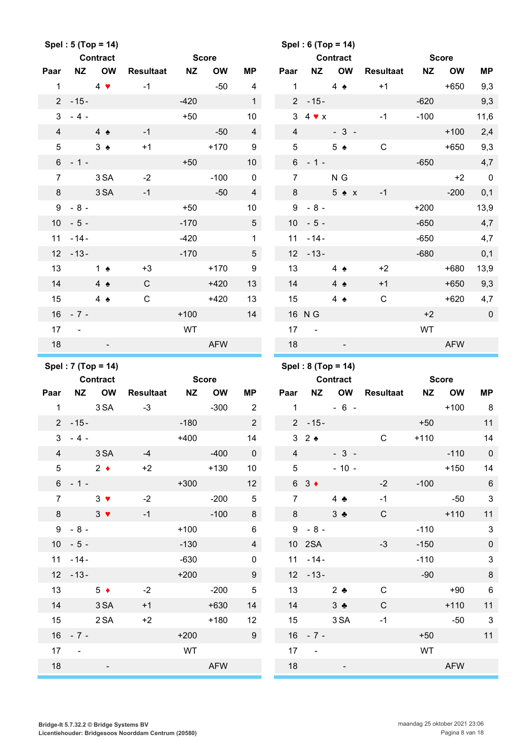|                 |               | Spel: 5 (Top = 14)             |                  |           |              |                         |                 |               | Spel: 6 (Top = 14)             |                  |           |              |                           |
|-----------------|---------------|--------------------------------|------------------|-----------|--------------|-------------------------|-----------------|---------------|--------------------------------|------------------|-----------|--------------|---------------------------|
|                 |               | <b>Contract</b>                |                  |           | <b>Score</b> |                         |                 |               | <b>Contract</b>                |                  |           | <b>Score</b> |                           |
| Paar            | <b>NZ</b>     | <b>OW</b>                      | <b>Resultaat</b> | <b>NZ</b> | <b>OW</b>    | ΜP                      | Paar            | <b>NZ</b>     | <b>OW</b>                      | <b>Resultaat</b> | <b>NZ</b> | <b>OW</b>    | <b>MP</b>                 |
| $\mathbf{1}$    |               | $4 \bullet$                    | $-1$             |           | $-50$        | 4                       | $\mathbf{1}$    |               | 4 $\triangle$                  | $+1$             |           | $+650$       | 9,3                       |
|                 | $2 - 15 -$    |                                |                  | $-420$    |              | $\mathbf{1}$            |                 | $2 - 15 -$    |                                |                  | $-620$    |              | 9,3                       |
| 3               | $-4-$         |                                |                  | $+50$     |              | 10                      |                 | $34 \times x$ |                                | $-1$             | $-100$    |              | 11,6                      |
| $\overline{4}$  |               | $4 \triangle$                  | $-1$             |           | $-50$        | $\overline{4}$          | $\overline{4}$  |               | $-3-$                          |                  |           | $+100$       | 2,4                       |
| 5               |               | $3 \triangle$                  | $+1$             |           | $+170$       | 9                       | 5               |               | $5 \triangle$                  | $\mathbf C$      |           | $+650$       | 9,3                       |
|                 | $6 - 1 -$     |                                |                  | $+50$     |              | 10                      | 6               | $-1-$         |                                |                  | $-650$    |              | 4,7                       |
| $\overline{7}$  |               | 3 SA                           | $-2$             |           | $-100$       | $\pmb{0}$               | $\overline{7}$  |               | N G                            |                  |           | $+2$         | $\overline{\phantom{0}}$  |
| 8               |               | 3 SA                           | $-1$             |           | $-50$        | $\overline{4}$          | 8               |               | $5 \triangle x$                | $-1$             |           | $-200$       | 0,1                       |
| 9               | $-8-$         |                                |                  | $+50$     |              | 10                      |                 | $9 - 8 -$     |                                |                  | $+200$    |              | 13,9                      |
| 10 <sup>°</sup> | $-5-$         |                                |                  | $-170$    |              | $\sqrt{5}$              | 10 <sup>°</sup> | $-5-$         |                                |                  | $-650$    |              | 4,7                       |
| 11              | $-14-$        |                                |                  | $-420$    |              | $\mathbf{1}$            | 11              | $-14-$        |                                |                  | $-650$    |              | 4,7                       |
| 12 <sup>°</sup> | $-13-$        |                                |                  | $-170$    |              | 5                       | 12              | $-13-$        |                                |                  | $-680$    |              | 0,1                       |
| 13              |               | 1 $\triangle$                  | $+3$             |           | $+170$       | 9                       | 13              |               | 4 $\bullet$                    | $+2$             |           | $+680$       | 13,9                      |
| 14              |               | $4 \triangle$                  | $\mathsf{C}$     |           | $+420$       | 13                      | 14              |               | $4 \triangle$                  | $+1$             |           | $+650$       | 9,3                       |
| 15              |               | $4 \triangle$                  | $\mathsf C$      |           | $+420$       | 13                      | 15              |               | 4 $\triangle$                  | $\mathbf C$      |           | $+620$       | 4,7                       |
|                 | $16 - 7 -$    |                                |                  | $+100$    |              | 14                      |                 | 16 N G        |                                |                  | $+2$      |              | $\pmb{0}$                 |
| 17              | $\sim$        |                                |                  | WT        |              |                         | 17              | $\sim$ $-$    |                                |                  | WT        |              |                           |
| 18              |               |                                |                  |           | <b>AFW</b>   |                         | 18              |               |                                |                  |           | <b>AFW</b>   |                           |
|                 |               |                                |                  |           |              |                         |                 |               |                                |                  |           |              |                           |
|                 |               |                                |                  |           |              |                         |                 |               |                                |                  |           |              |                           |
|                 |               | Spel: 7 (Top = 14)<br>Contract |                  |           | <b>Score</b> |                         |                 |               | Spel: 8 (Top = 14)<br>Contract |                  |           | <b>Score</b> |                           |
| Paar            | <b>NZ</b>     | <b>OW</b>                      | <b>Resultaat</b> | <b>NZ</b> | <b>OW</b>    | <b>MP</b>               | Paar            | <b>NZ</b>     | OW                             | <b>Resultaat</b> | <b>NZ</b> | <b>OW</b>    | MP                        |
| $\mathbf{1}$    |               | 3 SA                           | $-3$             |           | $-300$       | $\overline{2}$          | $\mathbf{1}$    |               | $-6 -$                         |                  |           | $+100$       | 8                         |
|                 | $2 - 15 -$    |                                |                  | $-180$    |              | $2^{\circ}$             |                 | $2 - 15 -$    |                                |                  | $+50$     |              | 11                        |
| 3               | $-4-$         |                                |                  | $+400$    |              | 14                      |                 | 32            |                                | C                | $+110$    |              | 14                        |
| $\overline{4}$  |               | 3 SA                           | $-4$             |           | $-400$       | $\mathbf 0$             | $\overline{4}$  |               | $-3-$                          |                  |           | $-110$       | $\mathbf 0$               |
| 5 <sup>5</sup>  |               | $2 \bullet$                    | $+2$             |           | $+130$       | 10                      | $5\phantom{.0}$ |               | $-10 -$                        |                  |           | $+150$       | 14                        |
|                 | $6 - 1 -$     |                                |                  | $+300$    |              | 12                      |                 | $63 \div$     |                                | $-2$             | $-100$    |              | $\,6\,$                   |
| $\overline{7}$  |               | $3 \bullet$                    | $-2$             |           | $-200$       | $\overline{5}$          | $\overline{7}$  |               | 4 $\clubsuit$                  | $-1$             |           | $-50$        | $\mathbf 3$               |
| 8               |               | $3 \bullet$                    | $-1$             |           | $-100$       | $\bf 8$                 | 8               |               | $3 \bullet$                    | $\mathsf{C}$     |           | $+110$       | 11                        |
|                 | $9 - 8 -$     |                                |                  | $+100$    |              | 6                       |                 | $9 - 8 -$     |                                |                  | $-110$    |              | $\ensuremath{\mathsf{3}}$ |
|                 | $10 - 5 -$    |                                |                  | $-130$    |              | $\overline{\mathbf{4}}$ |                 | 10 2SA        |                                | $-3$             | $-150$    |              | $\pmb{0}$                 |
|                 | $11 - 14 -$   |                                |                  | $-630$    |              | $\pmb{0}$               |                 | $11 - 14 -$   |                                |                  | $-110$    |              | $\sqrt{3}$                |
|                 | $12 - 13 -$   |                                |                  | $+200$    |              | $9\,$                   |                 | $12 - 13 -$   |                                |                  | $-90$     |              | $\,8\,$                   |
| 13              |               | $5 \bullet$                    | $-2$             |           | $-200$       | $\sqrt{5}$              | 13              |               | $2$ $\bullet$                  | $\mathbf C$      |           | $+90$        | $\,6\,$                   |
| 14              |               | 3 SA                           | $+1$             |           | $+630$       | 14                      | 14              |               | $3 \bullet$                    | $\mathsf{C}$     |           | $+110$       | 11                        |
| 15              |               | 2SA                            | $+2$             |           | $+180$       | 12                      | 15              |               | 3 SA                           | $-1$             |           | $-50$        | $\mathbf{3}$              |
|                 | $16 - 7 -$    |                                |                  | $+200$    |              | 9                       |                 | $16 - 7 -$    |                                |                  | $+50$     |              | 11                        |
| 17              | $\sim$ $\sim$ |                                |                  | WT        |              |                         | 17              | $\sim$        |                                |                  | WT        |              |                           |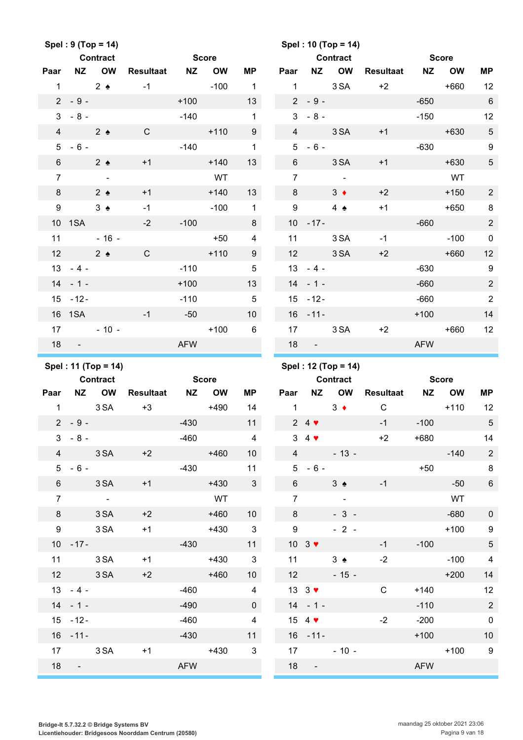|                  |             | Spel: 9 (Top = 14)    |                     |              |           |                         |                |                                        | Spel: 10 (Top = 14) |                  |            |              |                  |
|------------------|-------------|-----------------------|---------------------|--------------|-----------|-------------------------|----------------|----------------------------------------|---------------------|------------------|------------|--------------|------------------|
|                  |             | <b>Contract</b>       |                     | <b>Score</b> |           |                         |                |                                        | <b>Contract</b>     |                  |            | <b>Score</b> |                  |
| Paar             | NZ          | <b>OW</b>             | <b>Resultaat</b>    | NZ           | <b>OW</b> | <b>MP</b>               | Paar           | <b>NZ</b>                              | OW                  | <b>Resultaat</b> | <b>NZ</b>  | <b>OW</b>    | MP               |
| $\mathbf{1}$     |             | $2 \triangleleft$     | $-1$                |              | $-100$    | $\mathbf{1}$            | $\mathbf{1}$   |                                        | 3 SA                | $+2$             |            | $+660$       | 12               |
|                  | $2 - 9 -$   |                       |                     | $+100$       |           | 13                      |                | $2 - 9 -$                              |                     |                  | $-650$     |              | $\,6\,$          |
| 3                | $-8-$       |                       |                     | $-140$       |           | $\mathbf{1}$            | 3              | $-8-$                                  |                     |                  | $-150$     |              | 12               |
| $\overline{4}$   |             | $2 \triangle$         | $\mathsf{C}$        |              | $+110$    | $9\,$                   | $\overline{4}$ |                                        | 3 SA                | $+1$             |            | $+630$       | $\sqrt{5}$       |
| 5                | $-6 -$      |                       |                     | $-140$       |           | $\mathbf{1}$            | 5 <sup>5</sup> | $-6-$                                  |                     |                  | $-630$     |              | $\boldsymbol{9}$ |
| 6                |             | $2 \triangle$         | $+1$                |              | $+140$    | 13                      | $6\phantom{1}$ |                                        | 3 SA                | $+1$             |            | $+630$       | $\sqrt{5}$       |
| $\overline{7}$   |             | $\sim$                |                     |              | WT        |                         | $\overline{7}$ |                                        | $\sim 100$          |                  |            | WT           |                  |
| 8                |             | $2 \triangle$         | $+1$                |              | $+140$    | 13                      | 8              |                                        | $3 \bullet$         | $+2$             |            | $+150$       | $\overline{2}$   |
| $\boldsymbol{9}$ |             | $3 \triangle$         | $-1$                |              | $-100$    | $\mathbf{1}$            | 9              |                                        | 4 $\bullet$         | $+1$             |            | $+650$       | 8                |
|                  | 10 1SA      |                       | $-2$                | $-100$       |           | 8                       |                | $10 - 17 -$                            |                     |                  | $-660$     |              | $\overline{c}$   |
| 11               |             | $-16 -$               |                     |              | $+50$     | $\overline{4}$          | 11             |                                        | 3 SA                | $-1$             |            | $-100$       | $\mathbf 0$      |
| 12               |             | $2 \triangleleft$     | $\mathsf{C}$        |              | $+110$    | 9                       | 12             |                                        | 3 SA                | $+2$             |            | $+660$       | 12               |
|                  | $13 - 4 -$  |                       |                     | $-110$       |           | $\overline{5}$          |                | $13 - 4 -$                             |                     |                  | $-630$     |              | 9                |
|                  | $14 - 1 -$  |                       |                     | $+100$       |           | 13                      |                | $14 - 1 -$                             |                     |                  | $-660$     |              | $\overline{2}$   |
|                  | $15 - 12 -$ |                       |                     | $-110$       |           | $\sqrt{5}$              |                | $15 - 12 -$                            |                     |                  | $-660$     |              | $\sqrt{2}$       |
|                  | 16 1SA      |                       | $-1$                | $-50$        |           | 10                      |                | $16 - 11 -$                            |                     |                  | $+100$     |              | 14               |
| 17               |             | $-10 -$               |                     |              | $+100$    | $6\phantom{1}$          | 17             |                                        | 3 SA                | $+2$             |            | $+660$       | 12               |
| 18               | $\sim 100$  |                       |                     | <b>AFW</b>   |           |                         | 18             | $\blacksquare$                         |                     |                  | <b>AFW</b> |              |                  |
|                  |             |                       |                     |              |           |                         |                |                                        |                     |                  |            |              |                  |
|                  |             | Spel: 11 (Top = 14)   |                     |              |           |                         |                |                                        | Spel: 12 (Top = 14) |                  |            |              |                  |
|                  |             | <b>Contract</b>       |                     | <b>Score</b> |           |                         |                |                                        | <b>Contract</b>     |                  |            | <b>Score</b> |                  |
| Paar             |             | NZ OW                 | <b>Resultaat NZ</b> |              | <b>OW</b> | <b>MP</b>               | Paar           | <b>NZ</b>                              | OW                  | Resultaat        | <b>NZ</b>  | <b>OW</b>    | MP               |
| $\mathbf{1}$     |             | 3 SA                  | $+3$                |              | $+490$    | 14                      | $\mathbf{1}$   |                                        | $3 +$               | $\mathsf{C}$     |            | $+110$       | 12               |
|                  | $2 - 9 -$   |                       |                     | $-430$       |           | 11                      |                | $24$ $\blacktriangledown$              |                     | $-1$             | $-100$     |              | $\sqrt{5}$       |
| 3                | $-8 -$      |                       |                     | $-460$       |           | $\overline{4}$          |                | $3\quad 4$ $\blacktriangledown$        |                     | $+2$             | +680       |              | 14               |
| $\overline{4}$   |             | 3 SA                  | $+2$                |              | $+460$    | 10 <sup>°</sup>         | $\overline{4}$ |                                        | $-13 -$             |                  |            | $-140$       | $\sqrt{2}$       |
|                  | $5 - 6 -$   |                       |                     |              | $-430$    | 11                      |                |                                        | $5 - 6 -$           |                  |            | $+50$        | 8                |
| $6\overline{6}$  |             | 3 SA                  | $+1$                |              | $+430$    | $\overline{\mathbf{3}}$ | 6 <sup>1</sup> |                                        | $3 \triangle$       | $-1$             |            | $-50$        | $6\phantom{.}6$  |
| $\overline{7}$   |             | $\sim 100$ km $^{-1}$ |                     |              | WT        |                         | $\overline{7}$ |                                        | $\sim 100$          |                  |            | WT           |                  |
| 8                |             | 3 SA                  | $+2$                |              | $+460$    | 10 <sup>°</sup>         | 8              |                                        | $-3 -$              |                  |            | $-680$       | $\mathbf 0$      |
| 9                |             | 3 SA                  | $+1$                |              | $+430$    | $\overline{\mathbf{3}}$ | 9              |                                        | $-2 -$              |                  |            | $+100$       | $\boldsymbol{9}$ |
|                  |             | $10 - 17 -$           |                     | $-430$       |           | 11                      |                | $10 \quad 3 \blacktriangleright$       |                     | $-1$             | $-100$     |              | $\sqrt{5}$       |
|                  |             | 11 3 SA               | $+1$                |              | $+430$    | $\overline{\mathbf{3}}$ |                | 11                                     | $3 \triangle$       | $-2$             |            | $-100$       | $\overline{4}$   |
|                  | 12 3 SA     |                       | $+2$                |              | $+460$    | 10 <sup>°</sup>         |                | 12                                     | $-15 -$             |                  |            | $+200$       | 14               |
|                  | $13 - 4 -$  |                       |                     | $-460$       |           | $\overline{4}$          |                | $13 \quad 3 \quad \blacktriangleright$ |                     | $\mathsf{C}$     | $+140$     |              | 12               |
|                  | $14 - 1 -$  |                       |                     | $-490$       |           | $\overline{0}$          |                | $14 - 1 -$                             |                     |                  | $-110$     |              | $\sqrt{2}$       |
|                  | $15 - 12 -$ |                       |                     | $-460$       |           | $\overline{4}$          |                | 15 4 $\blacktriangledown$              |                     | $-2$             | $-200$     |              | $\pmb{0}$        |
|                  | $16 - 11 -$ |                       |                     | $-430$       |           | 11                      |                | $16 - 11 -$                            |                     |                  | $+100$     |              | $10$             |
| 17 <sup>2</sup>  |             | 3 SA                  | $+1$                |              | $+430$    | $\mathbf{3}$            |                | 17                                     | $-10 -$             |                  |            | $+100$       | $\overline{9}$   |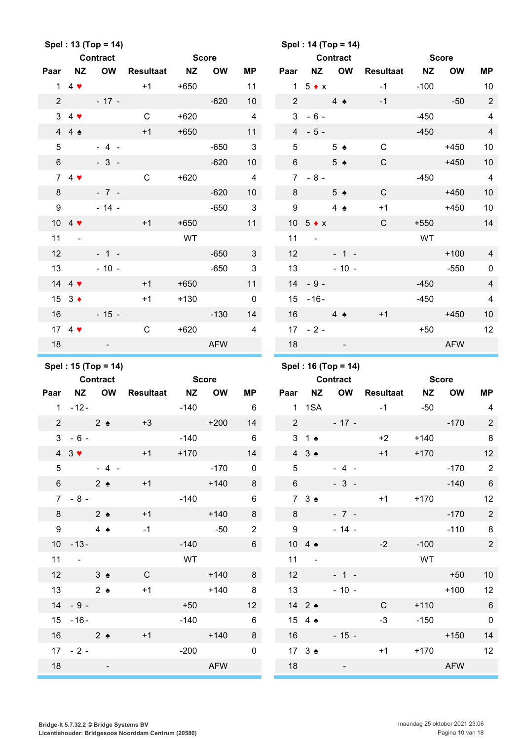|                  |                                 | Spel: 13 (Top = 14) |                  |           |               |                          |                  |                             | Spel: 14 (Top = 14)      |                  |           |                      |                         |
|------------------|---------------------------------|---------------------|------------------|-----------|---------------|--------------------------|------------------|-----------------------------|--------------------------|------------------|-----------|----------------------|-------------------------|
|                  |                                 | <b>Contract</b>     |                  |           | <b>Score</b>  |                          |                  |                             | <b>Contract</b>          |                  |           | <b>Score</b>         |                         |
| Paar             | <b>NZ</b>                       | <b>OW</b>           | <b>Resultaat</b> | <b>NZ</b> | <b>OW</b>     | <b>MP</b>                | Paar             | NZ                          | <b>OW</b>                | <b>Resultaat</b> | <b>NZ</b> | <b>OW</b>            | <b>MP</b>               |
| $\mathbf{1}$     | $4 \bullet$                     |                     | $+1$             | $+650$    |               | 11                       |                  | $1\quad5 \bullet x$         |                          | $-1$             | $-100$    |                      | 10                      |
| $\overline{2}$   |                                 | $-17 -$             |                  |           | $-620$        | 10                       | $\overline{2}$   |                             | $4 \triangle$            | $-1$             |           | $-50$                | $\sqrt{2}$              |
| 3                | $4$ $\blacktriangledown$        |                     | $\mathsf{C}$     | $+620$    |               | $\overline{4}$           | 3                | $-6-$                       |                          |                  | $-450$    |                      | $\overline{\mathbf{4}}$ |
|                  | 44                              |                     | $+1$             | $+650$    |               | 11                       |                  | $4 - 5 -$                   |                          |                  | $-450$    |                      | $\overline{4}$          |
| 5                |                                 | $-4 -$              |                  |           | $-650$        | $\mathbf{3}$             | 5                |                             | $5 \triangle$            | $\mathbf C$      |           | $+450$               | $10$                    |
| $\,6\,$          |                                 | $-3 -$              |                  |           | $-620$        | 10                       | 6                |                             | $5 \triangle$            | $\mathbf C$      |           | $+450$               | 10                      |
|                  | $74$ $\blacktriangledown$       |                     | $\mathbf C$      | $+620$    |               | $\overline{4}$           |                  | $7 - 8 -$                   |                          |                  | $-450$    |                      | $\overline{4}$          |
| 8                |                                 | $-7 -$              |                  |           | $-620$        | 10                       | 8                |                             | 5 <sub>2</sub>           | $\mathsf{C}$     |           | $+450$               | 10                      |
| $\boldsymbol{9}$ |                                 | $-14 -$             |                  |           | $-650$        | $\mathbf{3}$             | $\boldsymbol{9}$ |                             | $4 \triangle$            | $+1$             |           | $+450$               | 10                      |
|                  | 10 4 $\blacktriangledown$       |                     | $+1$             | $+650$    |               | 11                       |                  | 10 $5 \div x$               |                          | $\mathbf C$      | $+550$    |                      | 14                      |
| 11               | ä,                              |                     |                  | WT        |               |                          | 11               | $\sim$                      |                          |                  | WT        |                      |                         |
| 12               |                                 | $-1 -$              |                  |           | $-650$        | $\mathbf{3}$             | 12               |                             | $-1 -$                   |                  |           | $+100$               | $\overline{4}$          |
| 13               |                                 | $-10 -$             |                  |           | $-650$        | $\mathfrak{B}$           | 13               |                             | $-10 -$                  |                  |           | $-550$               | $\pmb{0}$               |
|                  | 14 4 $\sqrt{ }$                 |                     | $+1$             | $+650$    |               | 11                       | 14               | $-9-$                       |                          |                  | $-450$    |                      | $\overline{4}$          |
|                  | $15 \quad 3 \bullet$            |                     | $+1$             | $+130$    |               | $\mathbf 0$              | 15               | $-16-$                      |                          |                  | $-450$    |                      | $\overline{\mathbf{4}}$ |
| 16               |                                 | $-15 -$             |                  |           | $-130$        | 14                       | 16               |                             | $4 \triangle$            | $+1$             |           | $+450$               | 10                      |
|                  | 17 4 $\blacktriangledown$       |                     | $\mathsf{C}$     | $+620$    |               | $\overline{4}$           |                  | $17 - 2 -$                  |                          |                  | $+50$     |                      | 12                      |
| 18               |                                 |                     |                  |           | <b>AFW</b>    |                          | 18               |                             |                          |                  |           | <b>AFW</b>           |                         |
|                  |                                 |                     |                  |           |               |                          |                  |                             |                          |                  |           |                      |                         |
|                  |                                 |                     |                  |           |               |                          |                  |                             |                          |                  |           |                      |                         |
|                  |                                 | Spel: 15 (Top = 14) |                  |           |               |                          |                  |                             | Spel: 16 (Top = 14)      |                  |           |                      |                         |
|                  |                                 | <b>Contract</b>     |                  |           | <b>Score</b>  |                          |                  |                             | <b>Contract</b>          |                  |           | <b>Score</b>         |                         |
| Paar             | <b>NZ</b>                       | <b>OW</b>           | <b>Resultaat</b> | <b>NZ</b> | <b>OW</b>     | ΜP                       | Paar             | <b>NZ</b>                   | <b>OW</b>                | <b>Resultaat</b> | <b>NZ</b> | <b>OW</b>            | <b>MP</b>               |
| $\mathbf{1}$     | $-12-$                          |                     |                  | $-140$    |               | $6\phantom{1}$           | $\mathbf{1}$     | 1SA                         |                          | $-1$             | $-50$     |                      | $\overline{\mathbf{4}}$ |
| $\overline{2}$   |                                 | $2 \triangle$       | $+3$             |           | $+200$        | 14                       | $\overline{2}$   |                             | $-17 -$                  |                  |           | $-170$               | $\sqrt{2}$              |
|                  | $3 - 6 -$                       |                     |                  | $-140$    |               | 6                        |                  | $3 \quad 1 \bullet$         |                          | $+2$             | $+140$    |                      | 8                       |
|                  | $4 \quad 3 \blacktriangleright$ |                     | $+1$             | $+170$    |               | 14                       |                  | $4 \quad 3 \Leftrightarrow$ | <b>Contract Contract</b> | $+1$             | $+170$    |                      | 12                      |
| $5\overline{)}$  |                                 | $-4-$               |                  |           | $-170$        | $\overline{\phantom{0}}$ |                  | $5^{\circ}$                 | $-4 -$                   |                  |           | $-170$               | $\overline{2}$          |
|                  | $6\qquad \qquad$                | $2 \triangle$       | $+1$             |           | $+140$        | 8 <sup>1</sup>           |                  | $6\qquad$                   | $-3-$                    |                  |           | $-140$               | $\,6\,$                 |
|                  | $7 - 8 -$                       |                     |                  | $-140$    |               | 6                        |                  | 73 <sub>2</sub>             |                          | $+1$             |           | $+170$               | 12                      |
| 8                | 2 <sub>2</sub>                  |                     | $+1$             |           | $+140$        | 8                        |                  | $8 - 8$                     | $-7 -$                   |                  |           | $-170$               | $\overline{2}$          |
| 9                |                                 | $4 \bullet$         | $-1$             |           | $-50$         | $\overline{2}$           |                  | 9                           | $-14 -$                  |                  |           | $-110$               | $\,8\,$                 |
|                  | $10 - 13 -$                     |                     |                  | $-140$    |               | 6 <sup>1</sup>           |                  | 10 4 $\triangle$            |                          | $-2$             | $-100$    |                      | $\sqrt{2}$              |
| 11               | $\sim 100$                      |                     |                  | WT        |               |                          | 11               | $\sim 100$                  |                          |                  | WT        |                      |                         |
| 12               |                                 | $3 \triangle$       | $\mathsf{C}$     |           | $+140$        | 8                        |                  | 12                          | $-1 -$                   |                  |           | $+50$                | $10$                    |
| 13               |                                 | $2 \triangle$       | $+1$             |           | $+140$        | 8                        |                  | 13                          | $-10 -$                  |                  |           | $+100$               | 12                      |
|                  | $14 - 9 -$                      |                     |                  | $+50$     |               | 12                       |                  | 14 2 $\triangle$            | <u> Tanzania (</u>       | $\mathsf{C}$     | $+110$    |                      | $\,6\,$                 |
|                  | $15 - 16 -$                     |                     |                  | $-140$    |               | $6\phantom{1}6$          |                  |                             | $15 \quad 4 \spadesuit$  | $-3$             |           | $-150$               | $\pmb{0}$               |
|                  | 16 $2 \triangleleft$            |                     | $+1$             |           | $+140$        | 8                        |                  | 16                          | $-15 -$                  |                  |           | $+150$               | 14                      |
| 18               | $17 - 2 -$                      |                     |                  |           | $-200$<br>AFW | $\mathbf 0$              | 18               | 17 $3 \triangleleft$        |                          | $+1$             |           | $+170$<br><b>AFW</b> | 12                      |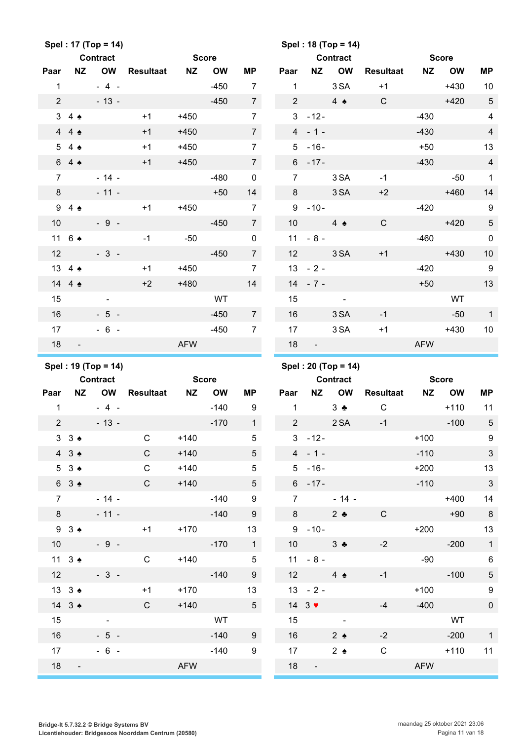|                 |                             | Spel: 17 (Top = 14) |                  |            |              |                  |                |                                   | Spel: 18 (Top = 14) |                  |            |              |                            |
|-----------------|-----------------------------|---------------------|------------------|------------|--------------|------------------|----------------|-----------------------------------|---------------------|------------------|------------|--------------|----------------------------|
|                 |                             | Contract            |                  |            | <b>Score</b> |                  |                |                                   | <b>Contract</b>     |                  |            | <b>Score</b> |                            |
| Paar            | <b>NZ</b>                   | <b>OW</b>           | <b>Resultaat</b> | NZ         | <b>OW</b>    | <b>MP</b>        | Paar           | <b>NZ</b>                         | <b>OW</b>           | <b>Resultaat</b> | <b>NZ</b>  | <b>OW</b>    | <b>MP</b>                  |
| $\mathbf{1}$    |                             | $-4 -$              |                  |            | $-450$       | $\overline{7}$   | $\mathbf{1}$   |                                   | 3 SA                | $+1$             |            | $+430$       | 10                         |
| $\overline{2}$  |                             | $-13 -$             |                  |            | $-450$       | $\overline{7}$   | $\overline{2}$ |                                   | 4 $\triangle$       | $\mathsf{C}$     |            | $+420$       | $\sqrt{5}$                 |
|                 | $3\quad 4 \triangle$        |                     | $+1$             | $+450$     |              | $\overline{7}$   | 3              | $-12-$                            |                     |                  | $-430$     |              | $\overline{4}$             |
|                 | 44.4                        |                     | $+1$             | $+450$     |              | $\overline{7}$   |                | $4 - 1 -$                         |                     |                  | $-430$     |              | $\overline{4}$             |
| $5\phantom{.0}$ | $4 \triangle$               |                     | $+1$             | $+450$     |              | $\overline{7}$   | 5              | $-16-$                            |                     |                  | $+50$      |              | 13                         |
|                 | 64                          |                     | $+1$             | $+450$     |              | $\overline{7}$   |                | $6 - 17 -$                        |                     |                  | $-430$     |              | $\overline{4}$             |
| $\overline{7}$  |                             | $-14 -$             |                  |            | $-480$       | $\pmb{0}$        | $\overline{7}$ |                                   | 3 SA                | $-1$             |            | $-50$        | $\mathbf{1}$               |
| 8               |                             | $-11 -$             |                  |            | $+50$        | 14               | 8              |                                   | 3 SA                | $+2$             |            | $+460$       | 14                         |
|                 | 94                          |                     | $+1$             | $+450$     |              | $\overline{7}$   | 9              | $-10-$                            |                     |                  | $-420$     |              | $\boldsymbol{9}$           |
| 10              |                             | $-9 -$              |                  |            | $-450$       | $\overline{7}$   | 10             |                                   | $4 \triangle$       | $\mathbf C$      |            | $+420$       | $\sqrt{5}$                 |
|                 | 11 6 ♠                      |                     | $-1$             | $-50$      |              | $\pmb{0}$        | 11             | $-8-$                             |                     |                  | $-460$     |              | $\pmb{0}$                  |
| 12              |                             | $-3-$               |                  |            | $-450$       | $7\overline{ }$  | 12             |                                   | 3 SA                | $+1$             |            | $+430$       | 10                         |
|                 | 13 4 4                      |                     | $+1$             | $+450$     |              | $\overline{7}$   | 13             | $-2-$                             |                     |                  | $-420$     |              | $9\,$                      |
|                 | 14 4 $\triangle$            |                     | $+2$             | $+480$     |              | 14               | 14             | $-7-$                             |                     |                  | $+50$      |              | 13                         |
| 15              |                             |                     |                  |            | WT           |                  | 15             |                                   | $\blacksquare$      |                  |            | WT           |                            |
| 16              |                             | $-5 -$              |                  |            | $-450$       | $7\overline{ }$  | 16             |                                   | 3 SA                | $-1$             |            | $-50$        | $\mathbf{1}$               |
| 17              |                             | $-6 -$              |                  |            | $-450$       | $\overline{7}$   | 17             |                                   | 3 SA                | $+1$             |            | $+430$       | 10                         |
| 18              | $\overline{\phantom{a}}$    |                     |                  | <b>AFW</b> |              |                  | 18             |                                   |                     |                  | <b>AFW</b> |              |                            |
|                 |                             |                     |                  |            |              |                  |                |                                   |                     |                  |            |              |                            |
|                 |                             |                     |                  |            |              |                  |                |                                   |                     |                  |            |              |                            |
|                 |                             | Spel: 19 (Top = 14) |                  |            |              |                  |                |                                   | Spel: 20 (Top = 14) |                  |            |              |                            |
|                 |                             | <b>Contract</b>     |                  |            | <b>Score</b> |                  |                |                                   | <b>Contract</b>     |                  |            | <b>Score</b> |                            |
| Paar            | <b>NZ</b>                   | <b>OW</b>           | <b>Resultaat</b> | <b>NZ</b>  | <b>OW</b>    | <b>MP</b>        | Paar           | <b>NZ</b>                         | <b>OW</b>           | <b>Resultaat</b> | <b>NZ</b>  | <b>OW</b>    | <b>MP</b>                  |
| $\mathbf{1}$    |                             | $-4-$               |                  |            | $-140$       | 9                | $\mathbf{1}$   |                                   | $3 \bullet$         | $\mathbf C$      |            | $+110$       | 11                         |
| $\overline{2}$  |                             | $-13 -$             |                  |            | $-170$       | $\mathbf{1}$     | $\overline{2}$ |                                   | 2 SA                | $-1$             |            | $-100$       | $\overline{5}$             |
|                 | $3 \cdot 3 \cdot 2$         |                     | C.               | $+140$     |              | 5                |                | $3 - 12 -$                        |                     |                  | $+100$     |              | 9                          |
|                 | $4 \quad 3 \Leftrightarrow$ |                     | $\mathsf{C}$     | $+140$     |              | 5 <sup>5</sup>   |                | $4 - 1 -$                         |                     |                  | $-110$     |              | $\ensuremath{\mathsf{3}}$  |
|                 | 53 <sub>2</sub>             |                     | $\mathsf{C}$     | $+140$     |              | 5                |                | $5 - 16 -$                        |                     |                  | $+200$     |              | 13                         |
|                 | 63 <sub>2</sub>             |                     | $\mathsf{C}$     | $+140$     |              | 5 <sup>5</sup>   |                | $6 - 17 -$                        |                     |                  | $-110$     |              | $\mathbf{3}$               |
| $\overline{7}$  |                             | $-14 -$             |                  |            | $-140$       | 9                |                | $7 \quad \overline{\phantom{1}}$  | $-14 -$             |                  |            | $+400$       | 14                         |
| 8               |                             | $-11 -$             |                  |            | $-140$       | 9                |                | $8 - 8$                           | $2$ $\bullet$       | $\mathsf{C}$     |            | $+90$        | 8                          |
|                 | $9 \t3$                     |                     | $+1$             | $+170$     |              | 13               |                | $9 - 10 -$                        |                     |                  | $+200$     |              | $13$                       |
|                 | 10                          | $-9 -$              |                  |            | $-170$       | $\overline{1}$   |                | $10 \qquad \qquad 3 \clubsuit$    |                     | $-2$             |            | $-200$       | $\overline{\phantom{0}}$ 1 |
|                 | 11 $3 \triangleleft$        |                     | $\mathsf{C}$     | $+140$     |              | $\overline{5}$   |                | $11 - 8 -$                        |                     |                  | $-90$      |              | $\,6\,$                    |
|                 | 12                          | $-3 -$              |                  |            | $-140$       | 9                | 12             | $4 \triangle$                     |                     | $-1$             |            | $-100$       | $\,$ 5 $\,$                |
|                 | 13 3 $\triangle$            |                     | $+1$             | $+170$     |              | 13               |                | $13 - 2 -$                        |                     |                  | $+100$     |              | 9                          |
|                 | 14 $3 \triangleleft$        |                     | $\mathsf{C}$     | $+140$     |              | 5 <sup>5</sup>   |                | 14 $3$ $\blacktriangledown$       |                     | $-4$             | $-400$     |              | $\pmb{0}$                  |
| 15              |                             |                     |                  |            | WT           |                  | 15             | $\sim 10^{11}$ and $\sim 10^{11}$ |                     |                  |            | WT           |                            |
| 16              |                             | $-5 -$              |                  |            | $-140$       | 9                | 16             |                                   | $2 \triangleleft$   | $-2$             |            | $-200$       | $\mathbf{1}$               |
| 17              |                             | $-6 -$              |                  |            | $-140$       | $\boldsymbol{9}$ | 17             |                                   | 2 $\bullet$         | $\mathsf{C}$     |            | $+110$       | 11                         |
| 18              | $\overline{\phantom{a}}$    |                     |                  | <b>AFW</b> |              |                  | 18             |                                   |                     |                  | AFW        |              |                            |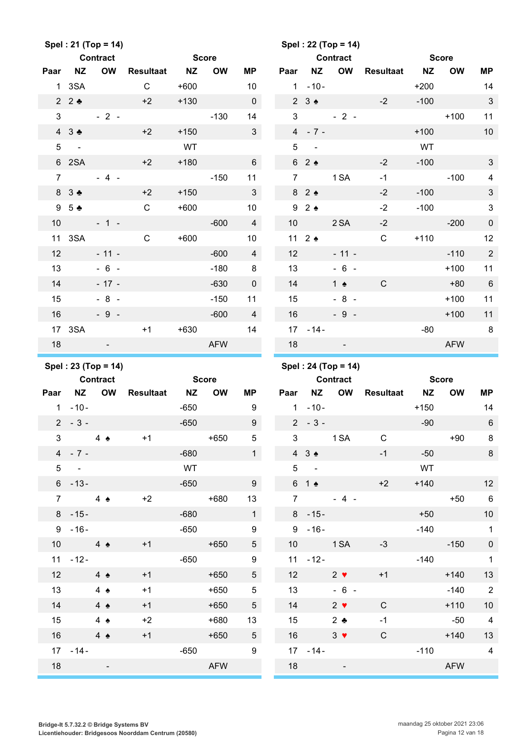|                      |                         | Spel: 21 (Top = 14) |                  |                     |              |                     |                |                                      | Spel: 22 (Top = 14) |                     |              |              |                            |
|----------------------|-------------------------|---------------------|------------------|---------------------|--------------|---------------------|----------------|--------------------------------------|---------------------|---------------------|--------------|--------------|----------------------------|
|                      |                         | <b>Contract</b>     |                  | <b>Score</b>        |              |                     |                |                                      | <b>Contract</b>     |                     | <b>Score</b> |              |                            |
| Paar                 | <b>NZ</b>               | <b>OW</b>           | <b>Resultaat</b> | <b>NZ</b>           | <b>OW</b>    | MР                  | Paar           | <b>NZ</b>                            | OW                  | <b>Resultaat</b>    | <b>NZ</b>    | <b>OW</b>    | <b>MP</b>                  |
| $\mathbf{1}$         | 3SA                     |                     | $\mathsf{C}$     | $+600$              |              | 10                  | 1              | $-10-$                               |                     |                     | $+200$       |              | 14                         |
|                      | 22                      |                     | $+2$             | $+130$              |              | $\mathsf{O}\xspace$ |                | $2 \t3$                              |                     | $-2$                | $-100$       |              | $\sqrt{3}$                 |
| 3                    |                         | $-2-$               |                  |                     | $-130$       | 14                  | $\mathfrak{S}$ |                                      | $-2-$               |                     |              | $+100$       | 11                         |
|                      | 43.4                    |                     | $+2$             | $+150$              |              | $\mathbf{3}$        |                | $4 - 7 -$                            |                     |                     | $+100$       |              | $10$                       |
| $\sqrt{5}$           | $\sim$                  |                     |                  | WT                  |              |                     | 5              | $\sim$ $\sim$                        |                     |                     | WT           |              |                            |
|                      | 6 2SA                   |                     | $+2$             | $+180$              |              | $6\phantom{.}6$     |                | 62                                   |                     | $-2$                | $-100$       |              | $\ensuremath{\mathsf{3}}$  |
| $\overline{7}$       |                         | $-4 -$              |                  |                     | $-150$       | 11                  | $\overline{7}$ |                                      | 1 SA                | $-1$                |              | $-100$       | $\overline{\mathbf{4}}$    |
|                      | 8 3 ♣                   |                     | $+2$             | $+150$              |              | $\mathbf{3}$        |                | 82                                   |                     | $-2$                | $-100$       |              | $\sqrt{3}$                 |
| 9                    | 5 <sub>2</sub>          |                     | $\mathsf{C}$     | $+600$              |              | 10                  |                | 92                                   |                     | $-2$                | $-100$       |              | $\sqrt{3}$                 |
| 10                   |                         | $-1 -$              |                  |                     | $-600$       | $\overline{4}$      | 10             |                                      | 2 SA                | $-2$                |              | $-200$       | $\pmb{0}$                  |
|                      | 11 3SA                  |                     | $\mathsf{C}$     | $+600$              |              | 10                  |                | 11 $2 \triangleleft$                 |                     | $\mathsf C$         | $+110$       |              | 12                         |
| 12                   |                         | $-11 -$             |                  |                     | $-600$       | $\overline{4}$      | 12             |                                      | $-11 -$             |                     |              | $-110$       | $\sqrt{2}$                 |
| 13                   |                         | $-6 -$              |                  |                     | $-180$       | 8                   | 13             |                                      | $-6 -$              |                     |              | $+100$       | 11                         |
| 14                   |                         | $-17 -$             |                  |                     | $-630$       | $\pmb{0}$           | 14             |                                      | 1 $\triangle$       | $\mathsf{C}$        |              | $+80$        | $6\phantom{1}6$            |
| 15                   |                         | $-8 -$              |                  |                     | $-150$       | 11                  | 15             |                                      | $-8 -$              |                     |              | $+100$       | 11                         |
| 16                   |                         | $-9 -$              |                  |                     | $-600$       | $\overline{4}$      | 16             |                                      | $-9 -$              |                     |              | $+100$       | 11                         |
|                      | 17 3SA                  |                     | $+1$             | $+630$              |              | 14                  |                | $17 - 14 -$                          |                     |                     | $-80$        |              | 8                          |
| 18                   |                         |                     |                  |                     | <b>AFW</b>   |                     | 18             |                                      |                     |                     |              | <b>AFW</b>   |                            |
|                      |                         |                     |                  |                     |              |                     |                |                                      |                     |                     |              |              |                            |
|                      |                         |                     |                  |                     |              |                     |                |                                      |                     |                     |              |              |                            |
|                      |                         | Spel: 23 (Top = 14) |                  |                     |              |                     |                |                                      | Spel: 24 (Top = 14) |                     |              |              |                            |
|                      |                         | <b>Contract</b>     |                  |                     | <b>Score</b> |                     |                |                                      | <b>Contract</b>     |                     |              | <b>Score</b> |                            |
| Paar<br>$\mathbf{1}$ | <b>NZ</b>               | OW                  | <b>Resultaat</b> | <b>NZ</b><br>$-650$ | <b>OW</b>    | MP                  | Paar           | NZ                                   | OW                  | <b>Resultaat</b>    | <b>NZ</b>    | <b>OW</b>    | <b>MP</b>                  |
|                      | $-10-$                  |                     |                  |                     |              | 9                   |                | $1 - 10 -$                           |                     |                     | $+150$       |              | 14                         |
|                      | $2 - 3 -$               |                     |                  | $-650$              |              | $\boldsymbol{9}$    |                | $2 - 3 -$                            |                     |                     | $-90$        |              | $\,6\,$                    |
|                      | $3 \qquad 4 \spadesuit$ |                     | $+1$             | $-680$              | $+650$       | 5 <sub>5</sub><br>1 |                | $3^{\circ}$                          | 1 SA                | $\mathbf C$<br>$-1$ | $-50$        |              | $+90$ 8                    |
|                      | $4 - 7 -$<br>$5 -$      |                     |                  | WT                  |              |                     |                | $4 \quad 3 \Leftrightarrow$<br>$5 -$ |                     |                     | <b>WT</b>    |              | $\overline{\phantom{0}}$ 8 |
|                      | $6 - 13 -$              |                     |                  | $-650$              |              | 9                   |                |                                      | $61$ $\bullet$      | $+2$                | $+140$       |              |                            |
|                      | $7 \quad 4 \bullet$     |                     | $+2$             |                     | $+680$       | 13                  |                |                                      | $7 - 4 -$           |                     |              | $+50$        | $6\overline{6}$            |
|                      | $8 - 15 -$              |                     |                  | $-680$              |              | $\overline{1}$      |                | $8 - 15 -$                           |                     |                     |              | $+50$        | 12<br>10                   |
|                      | $9 - 16 -$              |                     |                  | $-650$              |              | 9                   |                | $9 - 16 -$                           |                     |                     |              | $-140$       | $\overline{1}$             |
|                      | 10 $4 \triangle$        |                     | $+1$             |                     | $+650$       | 5 <sup>5</sup>      |                |                                      | 10 1 SA             | $-3$                |              | $-150$       | $\pmb{0}$                  |
|                      | $11 - 12 -$             |                     |                  | $-650$              |              | 9                   |                | $11 - 12 -$                          |                     |                     |              | $-140$       | $\overline{\phantom{0}}$ 1 |
|                      | 12 $4 \bullet$          |                     | $+1$             |                     | $+650$       | 5 <sup>5</sup>      |                | $12$ and $12$                        | $2 \bullet$         | $+1$                |              | $+140$       | 13                         |
| 13                   |                         | 4 $\bullet$         | $+1$             |                     | $+650$       | $5\phantom{.0}$     |                | 13                                   | $-6 -$              |                     |              | $-140$       | $\overline{\phantom{a}}$   |
| 14                   |                         | $4 \triangle$       | $+1$             |                     | $+650$       | 5 <sup>5</sup>      |                | 14                                   | $2 \bullet$         | $\mathsf{C}$        |              | $+110$       | 10                         |
| 15 <sup>15</sup>     |                         | $4 \triangle$       | $+2$             |                     | $+680$       | 13                  |                | 15                                   | $2 \bullet$         | $-1$                |              | $-50$        | $\overline{4}$             |
|                      | $16$ 4 $\bullet$        |                     | $+1$             |                     | $+650$       | 5 <sup>5</sup>      |                | 16                                   | $3 \bullet$         | $\mathsf{C}$        |              | $+140$       | 13                         |
|                      | $17 - 14 -$             |                     |                  | $-650$              |              | 9                   |                | $17 - 14$                            |                     |                     |              | $-110$ 4     |                            |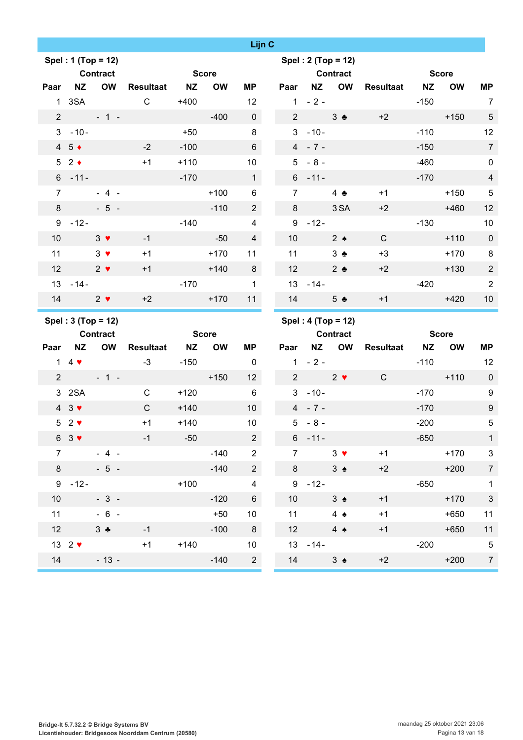|                 |                                 |                    |              |              |           | Lijn C                      |                 |                                             |                    |              |              |              |                                  |
|-----------------|---------------------------------|--------------------|--------------|--------------|-----------|-----------------------------|-----------------|---------------------------------------------|--------------------|--------------|--------------|--------------|----------------------------------|
|                 |                                 | Spel: 1 (Top = 12) |              |              |           |                             |                 |                                             | Spel: 2 (Top = 12) |              |              |              |                                  |
|                 |                                 | <b>Contract</b>    |              | <b>Score</b> |           |                             |                 | <b>Contract</b>                             |                    |              |              | <b>Score</b> |                                  |
| Paar            | <b>NZ</b>                       | <b>OW</b>          | Resultaat NZ |              | <b>OW</b> | MP                          |                 |                                             | Paar NZ OW         | Resultaat NZ |              | <b>OW</b>    | <b>MP</b>                        |
|                 | 1 3SA                           | $2 + 1 -$          | $\mathsf{C}$ | $+400$       | $-400$    | 12<br>$\mathbf 0$           |                 | $1 - 2 -$<br>$2 \left( \frac{1}{2} \right)$ |                    | $+2$         | $-150$       | $+150$       | $\overline{7}$<br>$\overline{5}$ |
|                 | $3 - 10 -$                      |                    |              | $+50$        |           | 8                           |                 | $3 - 10 -$                                  | $3 \bullet$        |              | $-110$       |              | 12                               |
|                 | $4\quad5$ $\rightarrow$         |                    | $-2$         | $-100$       |           | $6\phantom{1}$              |                 | $4 - 7 -$                                   |                    |              | $-150$       |              | $\overline{7}$                   |
|                 | $52 \div$                       |                    | $+1$         | $+110$       |           | 10 <sup>°</sup>             |                 | $5 - 8 -$                                   |                    |              | $-460$       |              | $\pmb{0}$                        |
|                 | $6 - 11 -$                      |                    |              | $-170$       |           | $\mathbf{1}$                |                 | $6 - 11 -$                                  |                    |              | $-170$       |              | $\overline{4}$                   |
| $\overline{7}$  |                                 | $-4-$              |              |              | $+100$    | $\,6\,$                     | $7^{\circ}$     |                                             | 4 $\clubsuit$      | $+1$         |              | $+150$       | $\sqrt{5}$                       |
| 8               |                                 | $-5 -$             |              |              | $-110$    | $\overline{2}$              | 8               |                                             | 3 SA               | $+2$         |              | $+460$       | 12                               |
|                 | $9 - 12 -$                      |                    |              | $-140$       |           | $\overline{\mathbf{4}}$     |                 | $9 - 12 -$                                  |                    |              | $-130$       |              | 10                               |
| 10              |                                 | $3 \bullet$        | $-1$         |              | $-50$     | $\overline{4}$              | 10 <sup>°</sup> |                                             | $2 \triangle$      | $\mathsf{C}$ |              | $+110$       | $\overline{0}$                   |
| 11              |                                 | $3 \bullet$        | $+1$         |              | $+170$    | 11                          | 11              |                                             | $3 \bullet$        | $+3$         |              | $+170$       | 8                                |
| 12 <sup>°</sup> | $2 \sqrt{ }$                    |                    | $+1$         |              | $+140$    | 8                           | 12              |                                             | $2 \bullet$        | $+2$         |              | $+130$       | $\overline{2}$                   |
|                 | $13 - 14 -$                     |                    |              | $-170$       |           | $\mathbf{1}$                |                 | $13 - 14 -$                                 |                    |              | $-420$       |              | 2                                |
|                 | 14 $2 \sqrt{ }$                 |                    | $+2$         |              | $+170$    | 11                          |                 | 14                                          | 5 <sub>2</sub>     | $+1$         |              | $+420$       | 10                               |
|                 |                                 |                    |              |              |           |                             |                 |                                             |                    |              |              |              |                                  |
|                 |                                 | Spel: 3 (Top = 12) |              |              |           |                             |                 |                                             | Spel: 4 (Top = 12) |              |              |              |                                  |
|                 |                                 | <b>Contract</b>    |              | <b>Score</b> |           |                             |                 | <b>Contract</b>                             |                    |              | <b>Score</b> |              |                                  |
| Paar            | <b>NZ</b>                       | <b>OW</b>          | Resultaat NZ |              | <b>OW</b> | <b>MP</b>                   | Paar            |                                             | NZ OW              | Resultaat NZ |              | <b>OW</b>    | <b>MP</b>                        |
|                 | 1 4 $\blacktriangledown$        |                    | $-3$         | $-150$       |           | $\overline{0}$              |                 | $1 - 2 -$                                   |                    |              | $-110$       |              | 12                               |
| 2 <sup>1</sup>  |                                 | $-1 -$             |              |              | $+150$    | 12                          | $2^{\circ}$     |                                             | $2 \bullet$        | $\mathsf{C}$ |              | $+110$       | $\pmb{0}$                        |
|                 | 3 2SA                           |                    | $\mathsf{C}$ | $+120$       |           | 6                           |                 | $3 - 10 -$                                  |                    |              | $-170$       |              | 9                                |
|                 | $4 \quad 3 \blacktriangleright$ |                    | C            | $+140$       |           | 10                          |                 | $4 - 7 -$                                   |                    |              | $-170$       |              | $9\,$                            |
|                 | $52$ $\blacktriangleright$      |                    | $+1$         | $+140$       |           | $10$                        |                 | $5 - 8 -$                                   |                    |              | $-200$       |              | $\sqrt{5}$                       |
|                 | $63$ $\blacktriangledown$       |                    | $-1$         | $-50$        |           | $\overline{2}$              |                 | $6 - 11 -$                                  |                    |              | $-650$       |              | $\overline{1}$                   |
| $\overline{7}$  |                                 | $-4 -$             |              |              | $-140$    | $\overline{2}$              | $7^{\circ}$     |                                             | $3 \bullet$        | $+1$         |              | $+170$       | $\sqrt{3}$                       |
|                 | $8 - 8$                         | $-5 -$             |              |              | $-140$    | $2\overline{ }$             |                 | $8 - 8$                                     | $3 \triangle$      | $+2$         |              | $+200$       | $\overline{7}$                   |
|                 | $9 - 12 -$                      |                    |              | $+100$       |           | $\overline{4}$              |                 | $9 - 12 -$                                  |                    |              | $-650$       |              | $\overline{1}$                   |
| 10 <sup>°</sup> |                                 | $-3-$              |              |              | $-120$    | $6\phantom{.}$              | 10 <sup>1</sup> |                                             | $3 \triangle$      | $+1$         |              | $+170$       | $\sqrt{3}$                       |
|                 | 11                              | $-6 -$             |              |              | $+50$     | 10                          |                 | 11                                          | 4 $\triangle$      | $+1$         |              | $+650$       | 11                               |
|                 | 12                              | $3 +$              | $-1$         |              | $-100$    | 8                           |                 | $12$ and $12$                               | $4 \triangle$      | $+1$         |              | $+650$       | 11                               |
|                 | 13 $2 \blacktriangledown$       | $14 - 13 -$        | $+1$         | $+140$       |           | 10 <sup>°</sup><br>$-140$ 2 |                 | $13 - 14 -$<br>14                           | $3 \triangle$      | $+2$         | $-200$       | $+200$       | $\sqrt{5}$<br>$\overline{7}$     |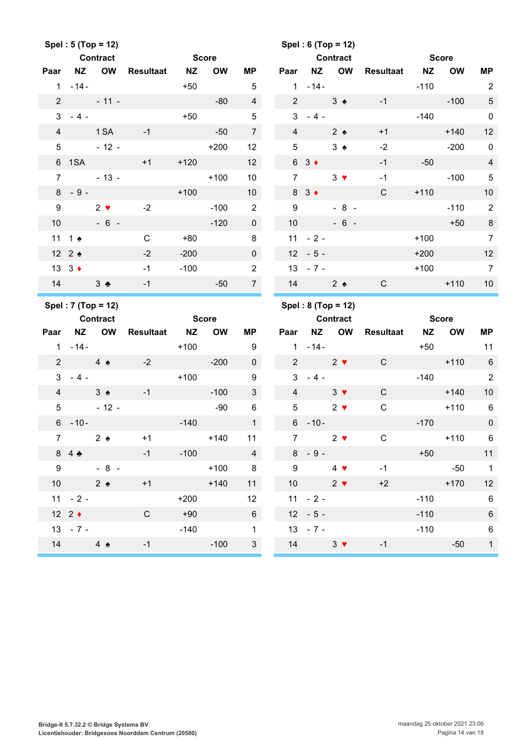|                 |                     | Spel: 5 (Top = 12)                    |                  |              |           |                         |                 |                     | Spel: 6 (Top = 12) |              |                 |              |                          |
|-----------------|---------------------|---------------------------------------|------------------|--------------|-----------|-------------------------|-----------------|---------------------|--------------------|--------------|-----------------|--------------|--------------------------|
|                 |                     | <b>Contract</b>                       |                  | <b>Score</b> |           |                         |                 |                     | <b>Contract</b>    |              | <b>Score</b>    |              |                          |
| Paar            |                     | NZ OW                                 | <b>Resultaat</b> | <b>NZ</b>    | <b>OW</b> | ΜP                      | Paar            |                     | NZ OW              | Resultaat NZ |                 | <b>OW</b>    | MP                       |
|                 | $1 - 14 -$          |                                       |                  | $+50$        |           | $5\phantom{.0}$         |                 | $1 - 14 -$          |                    |              | $-110$          |              | $\overline{2}$           |
| $\overline{2}$  |                     | $-11 -$                               |                  |              | $-80$     | $\overline{4}$          | $2^{\circ}$     |                     | $3 \triangleleft$  | $-1$         |                 | $-100$       | $\sqrt{5}$               |
|                 | $3 - 4 -$           |                                       |                  | $+50$        |           | $\sqrt{5}$              | $\mathbf{3}$    | $-4-$               |                    |              | $-140$          |              | $\mathbf 0$              |
| $\overline{4}$  |                     | 1 SA                                  | $-1$             |              | $-50$     | $\overline{7}$          | $\overline{4}$  |                     | $2 \triangle$      | $+1$         |                 | $+140$       | 12                       |
| $5\phantom{.0}$ |                     | $-12-$                                |                  |              | $+200$    | 12                      | $5\phantom{.0}$ |                     | $3 \triangle$      | $-2$         |                 | $-200$       | $\mathbf 0$              |
|                 |                     | 6 1SA                                 | $+1$             | $+120$       |           | 12                      |                 | $63 \bullet$        |                    | $-1$         | $-50$           |              | $\overline{4}$           |
| $\overline{7}$  |                     | $-13-$                                |                  |              | $+100$    | 10 <sup>1</sup>         | $\overline{7}$  |                     | $3 \bullet$        | $-1$         |                 | $-100$       | $\overline{5}$           |
|                 | $8 - 9 -$           |                                       |                  | $+100$       |           | 10 <sup>1</sup>         |                 | $8 \quad 3 \bullet$ |                    | $\mathsf{C}$ | $+110$          |              | 10                       |
| 9               |                     | $2 \bullet$                           | $-2$             |              | $-100$    | $\overline{2}$          | 9               |                     | $-8 -$             |              |                 | $-110$       | $\overline{2}$           |
| 10 <sup>°</sup> |                     | $-6 -$                                |                  |              | $-120$    | $\overline{0}$          | 10              |                     | $-6 -$             |              |                 | $+50$        | $\,8\,$                  |
|                 | 11 1 $\triangle$    |                                       | $\mathbf C$      | $+80$        |           | 8                       |                 | $11 - 2 -$          |                    |              | $+100$          |              | $\overline{7}$           |
|                 | 12 2 $\triangle$    |                                       | $-2$             | $-200$       |           | $\overline{0}$          |                 | $12 - 5 -$          |                    |              | $+200$          |              | 12                       |
|                 | 13 $3 \div$         |                                       | $-1$             | $-100$       |           | $\overline{2}$          |                 | $13 - 7 -$          |                    |              | $+100$          |              | $\overline{7}$           |
| 14              |                     | $3 \bullet$                           | $-1$             |              | $-50$     | 7 <sup>7</sup>          |                 | 14                  | $2 \triangleleft$  | C            |                 | $+110$       | 10                       |
|                 |                     |                                       |                  |              |           |                         |                 |                     |                    |              |                 |              |                          |
|                 |                     |                                       |                  |              |           |                         |                 |                     |                    |              |                 |              |                          |
|                 |                     | Spel: 7 (Top = 12)<br><b>Contract</b> |                  | <b>Score</b> |           |                         |                 | <b>Contract</b>     | Spel: 8 (Top = 12) |              |                 | <b>Score</b> |                          |
| Paar            |                     | NZ OW                                 | Resultaat NZ     |              | <b>OW</b> | ΜP                      |                 |                     | Paar NZ OW         | Resultaat    | <b>NZ</b>       | <b>OW</b>    | MP                       |
|                 | $1 - 14 -$          |                                       |                  | $+100$       |           | 9                       | 1               | $-14-$              |                    |              | $+50$           |              | 11                       |
| $2^{\circ}$     | $4 \triangle$       |                                       | $-2$             |              | $-200$    | $\mathbf 0$             |                 | $2 \times 2 \times$ |                    | $\mathbf C$  |                 | $+110$       | $6\phantom{1}6$          |
| 3 <sup>1</sup>  | $-4-$               |                                       |                  | $+100$       |           | 9                       |                 | $3 - 4 -$           |                    |              | $-140$          |              | 2                        |
| $\overline{4}$  |                     | $3 \triangle$                         | $-1$             |              | $-100$    | $\mathbf{3}$            | $\overline{4}$  |                     | $3 \bullet$        | $\mathsf{C}$ | <b>Contract</b> | $+140$       | 10                       |
|                 |                     | $5 - 12 -$                            |                  |              | $-90$     | $6\phantom{1}$          | 5 <sup>5</sup>  |                     | $2 \bullet$        | $\mathbf C$  |                 | $+110$       | 6                        |
|                 | $6 - 10 -$          |                                       |                  | $-140$       |           | 1                       |                 | $6 - 10 -$          |                    |              | $-170$          |              | $\mathbf 0$              |
| 7 <sup>7</sup>  |                     | $2 \triangle$                         | $+1$             |              | $+140$    | 11                      | $7\overline{ }$ |                     | $2 \bullet$        | C            |                 | $+110$       | $6\overline{6}$          |
|                 | 84                  |                                       | $-1$             | $-100$       |           | $\overline{4}$          |                 | $8 - 9 -$           |                    |              |                 | $+50$        | 11                       |
| 9               |                     | $-8-$                                 |                  |              | $+100$    | $\overline{\mathbf{8}}$ | 9 <sup>1</sup>  |                     | $4 \bullet$        | $-1$         |                 | $-50$        | $\overline{\phantom{1}}$ |
|                 |                     | 10 $2 \triangleleft$                  | $+1$             |              | $+140$    | 11                      |                 | 10                  | $2 \bullet$        | $+2$         |                 | $+170$       | 12                       |
|                 | $11 - 2 -$          |                                       |                  | $+200$       |           | 12                      |                 | $11 - 2 -$          |                    |              | $-110$          |              | $\,6\,$                  |
|                 | $12 \t2 \t\cdot \t$ |                                       | $\mathsf{C}$     | $+90$        |           | $6\overline{6}$         |                 | $12 - 5 -$          |                    |              | $-110$          |              | $\,6\,$                  |
|                 | $13 - 7 -$          |                                       |                  | $-140$       |           | $\mathbf 1$             |                 | $13 - 7 -$          |                    |              | $-110$          |              | 6                        |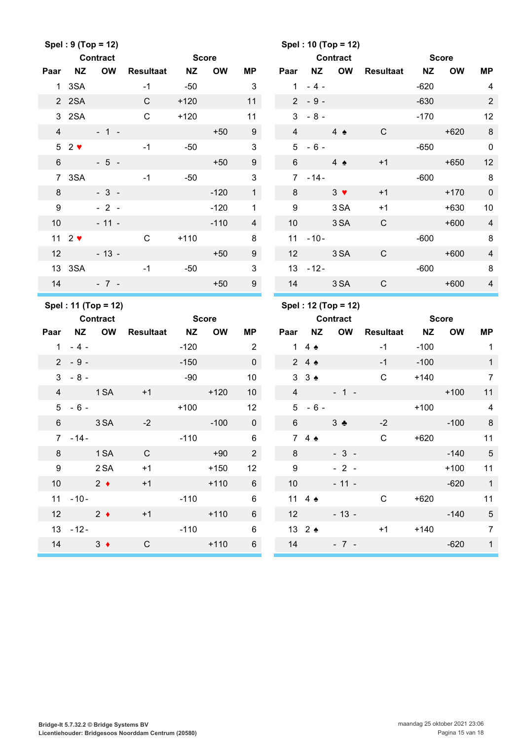|                  |                                                     | Spel: 9 (Top = 12)  |              |              |           |                 |                |                   | Spel: 10 (Top = 12) |              |              |           |                |
|------------------|-----------------------------------------------------|---------------------|--------------|--------------|-----------|-----------------|----------------|-------------------|---------------------|--------------|--------------|-----------|----------------|
|                  |                                                     | <b>Contract</b>     |              | <b>Score</b> |           |                 |                |                   | <b>Contract</b>     |              | <b>Score</b> |           |                |
| Paar             | <b>NZ</b>                                           | <b>OW</b>           | Resultaat    | <b>NZ</b>    | <b>OW</b> | <b>MP</b>       | Paar           | <b>NZ</b>         | OW                  | Resultaat NZ |              | <b>OW</b> | <b>MP</b>      |
|                  | 1 3SA                                               |                     | $-1$         | $-50$        |           | 3               | $\mathbf{1}$   | $-4-$             |                     |              | $-620$       |           | 4              |
|                  | 2 2 SA                                              |                     | C            | $+120$       |           | 11              |                | $2 - 9 -$         |                     |              | $-630$       |           | $\overline{2}$ |
|                  | 3 2SA                                               |                     | $\mathsf{C}$ | $+120$       |           | 11              | 3              | $-8-$             |                     |              | $-170$       |           | 12             |
| $\overline{4}$   |                                                     | $-1 -$              |              |              | $+50$     | 9               | $\overline{4}$ |                   | $4 \triangle$       | $\mathsf{C}$ |              | $+620$    | $\,8\,$        |
|                  | $52$ $\blacktriangleright$                          |                     | $-1$         | $-50$        |           | $\mathfrak{B}$  | 5              | $-6-$             |                     |              | $-650$       |           | $\mathbf 0$    |
| $6\phantom{1}$   |                                                     | $-5 -$              |              |              | $+50$     | 9               | 6              |                   | $4 \triangle$       | $+1$         |              | $+650$    | 12             |
|                  | 7 3SA                                               |                     | $-1$         | $-50$        |           | $\mathfrak{S}$  |                | $7 - 14 -$        |                     |              | $-600$       |           | 8              |
| 8                |                                                     | $-3-$               |              |              | $-120$    | $\mathbf{1}$    | 8              |                   | $3 \bullet$         | $+1$         |              | $+170$    | $\pmb{0}$      |
| 9                |                                                     | $-2-$               |              |              | $-120$    | 1               | 9              |                   | 3 SA                | $+1$         |              | $+630$    | 10             |
| 10               |                                                     | $-11 -$             |              |              | $-110$    | $\overline{4}$  | 10             |                   | 3 SA                | $\mathsf{C}$ |              | $+600$    | $\overline{4}$ |
|                  | 11 $2 \cdot \cdot$                                  |                     | $\mathsf{C}$ | $+110$       |           | 8               | 11             | $-10-$            |                     |              | $-600$       |           | 8              |
| 12               |                                                     | $-13 -$             |              |              | $+50$     | 9               | 12             |                   | 3 SA                | $\mathsf{C}$ |              | $+600$    | $\overline{4}$ |
|                  | 13 3SA                                              |                     | $-1$         | $-50$        |           | $\mathbf{3}$    |                | $13 - 12 -$       |                     |              | $-600$       |           | 8              |
| 14               |                                                     | $-7 -$              |              |              | $+50$     | 9               | 14             |                   | 3 SA                | $\mathbf C$  |              | $+600$    | $\overline{4}$ |
|                  |                                                     |                     |              |              |           |                 |                |                   |                     |              |              |           |                |
|                  |                                                     | Spel: 11 (Top = 12) |              |              |           |                 |                |                   | Spel: 12 (Top = 12) |              |              |           |                |
|                  |                                                     | <b>Contract</b>     |              | <b>Score</b> |           |                 |                |                   | <b>Contract</b>     |              | <b>Score</b> |           |                |
| Paar             |                                                     | NZ OW               | Resultaat NZ |              | <b>OW</b> | ΜP              | Paar           | ΝZ                | OW                  | Resultaat NZ |              | <b>OW</b> | MP             |
|                  | $1 - 4 -$                                           |                     |              | $-120$       |           | 2               |                | 1 4 $\triangle$   |                     | $-1$         | $-100$       |           | $\overline{1}$ |
|                  | $2 - 9 -$                                           |                     |              | $-150$       |           | $\mathbf 0$     |                | 24                |                     | $-1$         | $-100$       |           | $\mathbf{1}$   |
| 3                | $-8-$                                               |                     |              | $-90$        |           | 10              |                | $3 \cdot 3 \cdot$ |                     | $\mathsf C$  | $+140$       |           | $\overline{7}$ |
| $\overline{4}$   |                                                     | <b>Example 1 SA</b> | $+1$         |              | $+120$    | 10 <sup>1</sup> |                | $4\overline{ }$   | $-1 -$              |              |              | $+100$    | 11             |
| 5                | $-6-$                                               |                     |              | $+100$       |           | 12              | $5^{\circ}$    | $-6-$             |                     |              | $+100$       |           | 4              |
| $6\,$            |                                                     | 3 SA                | $-2$         |              | $-100$    | $\pmb{0}$       | $\,6\,$        |                   | $3 - 1$             | $-2$         |              | $-100$    | $\,8\,$        |
|                  | $7 - 14 -$                                          |                     |              | $-110$       |           | 6               |                | 74                |                     | C            | +620         |           | 11             |
| 8                |                                                     | 1 SA                | $\mathsf{C}$ |              | $+90$     | $2^{\circ}$     | 8              |                   | $-3-$               |              |              | $-140$    | $-5$           |
| $\boldsymbol{9}$ |                                                     | 2 SA                | $+1$         |              | $+150$    | 12              | 9              |                   | $-2 -$              |              |              | $+100$    | 11             |
| 10               |                                                     | $2 \bullet$         | $+1$         |              | $+110$    | $6\overline{6}$ |                | 10                | $-11 -$             |              |              | $-620$    | $\overline{1}$ |
|                  | $11 - 10 -$                                         |                     |              | $-110$       |           | 6               |                | 11 4 $\triangle$  |                     | $\mathsf C$  | $+620$       |           | 11             |
| 12               | $\overline{\phantom{a}}$ 2 $\overline{\phantom{a}}$ |                     | $+1$         |              | $+110$    | $6\overline{6}$ |                | $12$ and $12$     | $-13 -$             |              |              | $-140$    | $\sqrt{5}$     |
|                  | $13 - 12 -$                                         |                     |              | $-110$       | $+110$    | 6               |                | 13 2 $\triangle$  |                     | $+1$         | $+140$       |           | $\overline{7}$ |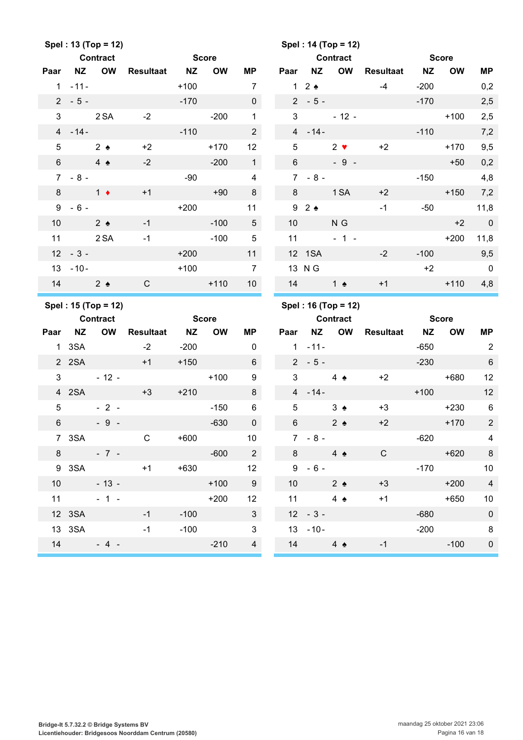|                 |                 | Spel: 13 (Top = 12) |                  |              |           |                         |                 |                     | Spel: 14 (Top = 12) |              |              |              |                          |
|-----------------|-----------------|---------------------|------------------|--------------|-----------|-------------------------|-----------------|---------------------|---------------------|--------------|--------------|--------------|--------------------------|
|                 |                 | <b>Contract</b>     |                  | <b>Score</b> |           |                         |                 |                     | <b>Contract</b>     |              | <b>Score</b> |              |                          |
| Paar            | NZ              | <b>OW</b>           | <b>Resultaat</b> | <b>NZ</b>    | <b>OW</b> | ΜP                      | Paar            | <b>NZ</b>           | OW                  | Resultaat NZ |              | <b>OW</b>    | <b>MP</b>                |
|                 | $1 - 11 -$      |                     |                  | $+100$       |           | $\overline{7}$          |                 | $1\quad2$ $\bullet$ |                     | $-4$         | $-200$       |              | 0,2                      |
|                 | $2 - 5 -$       |                     |                  | $-170$       |           | $\mathbf 0$             |                 | $2 - 5 -$           |                     |              | $-170$       |              | 2,5                      |
| 3               |                 | 2 SA                | $-2$             |              | $-200$    | $\mathbf{1}$            | 3               |                     | $-12 -$             |              |              | $+100$       | 2,5                      |
|                 | $4 - 14 -$      |                     |                  | $-110$       |           | $\overline{2}$          |                 | $4 - 14 -$          |                     |              | $-110$       |              | 7,2                      |
| $5\phantom{.0}$ |                 | $2 \bullet$         | $+2$             |              | $+170$    | 12                      | 5               |                     | $2 \bullet$         | $+2$         |              | $+170$       | 9,5                      |
| 6               |                 | $4 \triangle$       | $-2$             |              | $-200$    | 1                       | $6\overline{6}$ |                     | $-9 -$              |              |              | $+50$        | 0,2                      |
|                 | $7 - 8 -$       |                     |                  | $-90$        |           | $\overline{4}$          | $7^{\circ}$     | $-8-$               |                     |              | $-150$       |              | 4,8                      |
| 8               | $1 +$           |                     | $+1$             |              | $+90$     | 8                       |                 | $8 - 8$             | 1 SA                | $+2$         |              | $+150$       | 7,2                      |
| 9               | $-6-$           |                     |                  | $+200$       |           | 11                      |                 | 92                  |                     | $-1$         | $-50$        |              | 11,8                     |
| 10              | 2 <sub>2</sub>  |                     | $-1$             |              | $-100$    | 5 <sup>5</sup>          | 10              |                     | N G                 |              |              | $+2$         | $\mathbf 0$              |
|                 | 11 2 SA         |                     | $-1$             |              | $-100$    | $5\phantom{.0}$         | 11              |                     | $-1 -$              |              |              | $+200$       | 11,8                     |
|                 | $12 - 3 -$      |                     |                  | $+200$       |           | 11                      |                 | 12 1SA              |                     | $-2$         | $-100$       |              | 9,5                      |
|                 | $13 - 10 -$     |                     |                  | $+100$       |           | $\overline{7}$          |                 | 13 N G              |                     |              | $+2$         |              | $\overline{\phantom{0}}$ |
| 14              | $2 \triangle$   |                     | $\mathbf C$      |              | $+110$    | 10 <sup>1</sup>         | 14              |                     | 1 $\triangle$       | $+1$         |              | $+110$       | 4,8                      |
|                 |                 |                     |                  |              |           |                         |                 |                     |                     |              |              |              |                          |
|                 |                 | Spel: 15 (Top = 12) |                  |              |           |                         |                 |                     | Spel: 16 (Top = 12) |              |              |              |                          |
|                 | <b>Contract</b> |                     |                  | <b>Score</b> |           |                         |                 |                     | <b>Contract</b>     |              |              | <b>Score</b> |                          |
| Paar            | NZ              | <b>OW</b>           | <b>Resultaat</b> | <b>NZ</b>    | <b>OW</b> | ΜP                      | Paar            |                     | NZ OW               | Resultaat NZ |              | <b>OW</b>    | MP                       |
|                 | 1 3SA           |                     | $-2$             | $-200$       |           | $\mathbf 0$             |                 | $1 - 11 -$          |                     |              | $-650$       |              | 2                        |
|                 | 2 2 SA          |                     | $+1$             | $+150$       |           | $6\phantom{1}$          |                 | $2 - 5 -$           |                     |              | $-230$       |              | $\,6\,$                  |
| 3               |                 | $-12-$              |                  |              | $+100$    | 9                       | 3               |                     | $4 \triangle$       | $+2$         |              | $+680$       | 12                       |
|                 | 4 2SA           |                     | $+3$             | $+210$       |           | 8                       |                 | $4 - 14 -$          |                     |              | $+100$       |              | 12                       |
| $5\overline{)}$ |                 | $-2-$               |                  |              | $-150$    | 6                       | 5               |                     | $3 \triangle$       | $+3$         |              | $+230$       | $6\phantom{1}6$          |
| $\,6\,$         |                 | $-9-$               |                  |              | $-630$    | $\mathbf 0$             | $6\,$           |                     | $2 \triangle$       | $+2$         |              | $+170$       | $\overline{2}$           |
|                 |                 | 7 3SA               | $\mathbf{C}$     | $+600$       |           | 10 <sup>°</sup>         |                 | $7 - 8 -$           |                     |              | -620         |              | $\overline{4}$           |
|                 |                 | $8 - 7 -$           |                  |              | $-600$    | $\overline{2}$          |                 | $8 - 8$             | $4 \triangle$       | $\mathbf C$  |              | $+620$       | 8                        |
|                 |                 |                     | 9 3 SA +1        | $+630$       |           | 12                      |                 | $9 - 6 -$           |                     |              |              | $-170$       | 10                       |
|                 |                 | $10 - 13 -$         |                  |              | $+100$    | 9                       |                 | 10                  | $2 \triangle$       | $+3$         |              | $+200$       | $\overline{4}$           |
|                 |                 | $11 - 1 -$          |                  |              | $+200$    | 12                      |                 | 11                  | 4 $\triangle$       | $+1$         |              | $+650$       | 10                       |
|                 |                 | 12 3SA 2007         | $-1$             | $-100$       |           | 3 <sup>1</sup>          |                 | $12 - 3 -$          |                     |              | $-680$       |              | $\pmb{0}$                |
|                 | 13 3SA          |                     | $-1$             | $-100$       |           | $\overline{\mathbf{3}}$ |                 | $13 - 10 -$         |                     |              | $-200$       |              | 8                        |
|                 |                 | $14 - 4 -$          |                  |              | $-210$    | $\overline{\mathbf{4}}$ |                 |                     | 14 $4 \bullet$      | $-1$         |              | $-100$       | $\pmb{0}$                |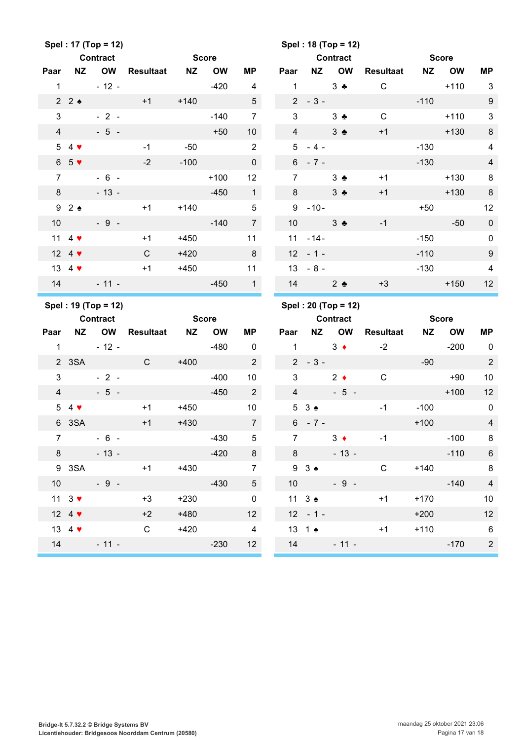|                |                             | Spel: 17 (Top = 12) |                  |           |                           |                      |                | Spel: 18 (Top = 12)             |               |                              |                          |           |                     |                                  |
|----------------|-----------------------------|---------------------|------------------|-----------|---------------------------|----------------------|----------------|---------------------------------|---------------|------------------------------|--------------------------|-----------|---------------------|----------------------------------|
|                |                             | <b>Contract</b>     |                  |           | <b>Score</b>              |                      |                |                                 |               | <b>Contract</b>              |                          |           | <b>Score</b>        |                                  |
| Paar           | <b>NZ</b>                   | <b>OW</b>           | Resultaat        | <b>NZ</b> | <b>OW</b>                 | <b>MP</b>            | Paar           | <b>NZ</b>                       |               | <b>OW</b>                    | <b>Resultaat</b>         | <b>NZ</b> | <b>OW</b>           | <b>MP</b>                        |
| $\mathbf{1}$   |                             | $-12 -$             |                  |           | $-420$                    | $\overline{4}$       | $\mathbf 1$    |                                 | $3 - 1$       |                              | $\mathsf C$              |           | $+110$              | 3                                |
|                | 22                          |                     | $+1$             | $+140$    |                           | 5                    |                | $2 - 3 -$                       |               |                              |                          | $-110$    |                     | 9                                |
| 3              |                             | $-2-$               |                  |           | $-140$                    | $\overline{7}$       | 3              |                                 | $3 -$         |                              | $\mathsf C$              |           | $+110$              | 3                                |
| $\overline{4}$ |                             | $-5 -$              |                  |           | $+50$                     | 10                   | $\overline{4}$ |                                 | $3 \bullet$   |                              | $+1$                     |           | $+130$              | 8                                |
|                | $54$ $\blacktriangledown$   |                     | $-1$             | $-50$     |                           | $\overline{2}$       |                | $5 - 4 -$                       |               |                              |                          | $-130$    |                     | $\overline{\mathcal{A}}$         |
|                | $65$ $\sqrt{ }$             |                     | $-2$             | $-100$    |                           | $\mathbf 0$          |                | $6 - 7 -$                       |               |                              |                          | $-130$    |                     | $\overline{\mathcal{L}}$         |
| $\overline{7}$ |                             | $-6 -$              |                  |           | $+100$                    | 12                   | $\overline{7}$ |                                 | $3 \bullet$   |                              | $+1$                     |           | $+130$              | 8                                |
| 8              |                             | $-13 -$             |                  |           | $-450$                    | $\mathbf{1}$         | 8              |                                 | $3 \bullet$   |                              | $+1$                     |           | $+130$              | 8                                |
|                | 92                          |                     | $+1$             | $+140$    |                           | 5                    |                | $9 - 10 -$                      |               |                              |                          | $+50$     |                     | 12                               |
| 10             |                             | $-9 -$              |                  |           | $-140$                    | $\overline{7}$       | 10             |                                 | $3 \bullet$   |                              | $-1$                     |           | $-50$               | $\mathbf 0$                      |
|                | 11 4 $\blacktriangledown$   |                     | $+1$             | $+450$    |                           | 11                   | 11             | $-14-$                          |               |                              |                          | $-150$    |                     | 0                                |
|                | 12 4 $\blacktriangledown$   |                     | C                | $+420$    |                           | 8                    | 12             | $-1-$                           |               |                              |                          | $-110$    |                     | 9                                |
|                | 13 4 $\blacktriangledown$   |                     | $+1$             | $+450$    |                           | 11                   | 13             | $-8-$                           |               |                              |                          | $-130$    |                     | $\overline{\mathcal{L}}$         |
| 14             |                             | $-11 -$             |                  |           | $-450$                    | $\overline{1}$       | 14             |                                 | $2$ $\bullet$ |                              | $+3$                     |           | $+150$              | 12                               |
|                |                             |                     |                  |           |                           |                      |                |                                 |               |                              |                          |           |                     |                                  |
|                |                             |                     |                  |           |                           |                      |                |                                 |               |                              |                          |           |                     |                                  |
|                |                             | Spel: 19 (Top = 12) |                  |           |                           |                      |                | Spel: 20 (Top = 12)             |               |                              |                          |           |                     |                                  |
| Paar           | <b>NZ</b>                   | <b>Contract</b>     |                  | <b>NZ</b> | <b>Score</b><br><b>OW</b> | <b>MP</b>            | Paar           | <b>NZ</b>                       |               | <b>Contract</b><br><b>OW</b> |                          | <b>NZ</b> | <b>Score</b>        |                                  |
| $\mathbf{1}$   |                             | OW<br>$-12 -$       | <b>Resultaat</b> |           | $-480$                    | $\mathbf 0$          | $\mathbf{1}$   |                                 | $3 \bullet$   |                              | <b>Resultaat</b><br>$-2$ |           | <b>OW</b><br>$-200$ | <b>MP</b><br>$\mathbf 0$         |
|                | 2 3SA                       |                     | $\mathsf{C}$     | $+400$    |                           | $\overline{2}$       |                | $2 - 3 -$                       |               |                              |                          | $-90$     |                     |                                  |
| 3              |                             | $-2-$               |                  |           | $-400$                    | 10                   | 3              |                                 | $2 \bullet$   |                              | ${\bf C}$                |           | $+90$               | $\overline{a}$                   |
|                |                             |                     |                  |           |                           |                      |                |                                 |               | $-5 -$                       |                          |           | $+100$              | 10                               |
| $\overline{4}$ | $54$ $\blacktriangledown$   | $-5 -$              | $+1$             | $+450$    | $-450$                    | $\overline{2}$<br>10 | $\overline{4}$ | 53 <sub>2</sub>                 |               |                              | $-1$                     | $-100$    |                     | 12                               |
|                |                             |                     | $+1$             |           |                           |                      |                |                                 |               |                              |                          |           |                     | $\mathbf 0$<br>$\overline{4}$    |
| $\overline{7}$ | 6 3SA                       | $-6 -$              |                  | $+430$    | $-430$                    | $\overline{7}$<br>5  | $\overline{7}$ | $6 - 7 -$                       |               | $3 +$                        | $-1$                     | $+100$    | $-100$              | 8                                |
|                |                             |                     |                  |           |                           |                      |                |                                 |               |                              |                          |           |                     |                                  |
|                | $8 -$                       | $-13 -$             | $+1$             |           | $-420$                    | 8                    |                | $8 -$                           |               | $-13 -$                      |                          |           | $-110$              | $\overline{6}$                   |
|                | 9 3SA                       |                     |                  | $+430$    |                           | $\overline{7}$       |                | $9 \t3$ $\bullet$               |               |                              | $\mathbf{C}$             | $+140$    |                     | 8                                |
|                | 10                          | $-9-$               |                  |           | $-430$                    | $5\phantom{.0}$      |                | $10 - 9 -$                      |               |                              |                          |           | $-140$              | $\overline{\mathcal{L}}$         |
|                | 11 $3$ $\blacktriangledown$ |                     | $+3$             | $+230$    |                           | $\pmb{0}$            |                | 11 $3 \triangleq$               |               |                              | $+1$                     | $+170$    |                     | 10                               |
|                | 12 4 $\blacktriangledown$   |                     | $+2$             | $+480$    |                           | 12 <sup>°</sup>      |                | $12 - 1 -$                      |               |                              |                          | $+200$    |                     | 12                               |
|                | 13 4 $\blacktriangledown$   | $14 - 11 -$         | $\mathsf{C}$     | $+420$    | $-230$                    | $\overline{4}$<br>12 |                | 13 1 $\triangle$<br>$14 - 11 -$ |               |                              | $+1$                     | $+110$    | $-170$              | $\overline{6}$<br>$\overline{c}$ |